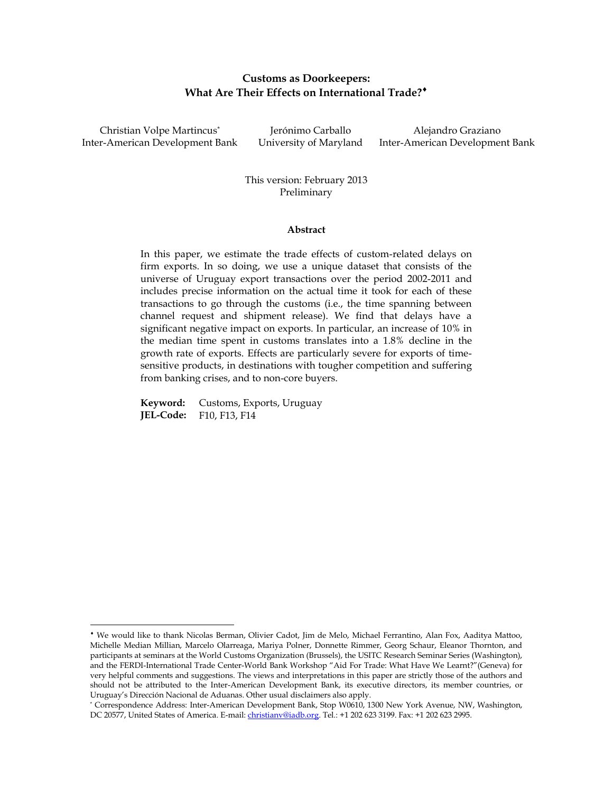# **Customs as Doorkeepers: What Are Their Effects on International Trade?**

Christian Volpe Martincus\* Inter-American Development Bank University of Maryland Inter-American Development Bank

 $\overline{\phantom{a}}$ 

Jerónimo Carballo Alejandro Graziano

This version: February 2013 Preliminary

### **Abstract**

In this paper, we estimate the trade effects of custom-related delays on firm exports. In so doing, we use a unique dataset that consists of the universe of Uruguay export transactions over the period 2002-2011 and includes precise information on the actual time it took for each of these transactions to go through the customs (i.e., the time spanning between channel request and shipment release). We find that delays have a significant negative impact on exports. In particular, an increase of 10% in the median time spent in customs translates into a 1.8% decline in the growth rate of exports. Effects are particularly severe for exports of timesensitive products, in destinations with tougher competition and suffering from banking crises, and to non-core buyers.

**Keyword:** Customs, Exports, Uruguay **JEL-Code:** F10, F13, F14

We would like to thank Nicolas Berman, Olivier Cadot, Jim de Melo, Michael Ferrantino, Alan Fox, Aaditya Mattoo, Michelle Median Millian, Marcelo Olarreaga, Mariya Polner, Donnette Rimmer, Georg Schaur, Eleanor Thornton, and participants at seminars at the World Customs Organization (Brussels), the USITC Research Seminar Series (Washington), and the FERDI-International Trade Center-World Bank Workshop "Aid For Trade: What Have We Learnt?"(Geneva) for very helpful comments and suggestions. The views and interpretations in this paper are strictly those of the authors and should not be attributed to the Inter-American Development Bank, its executive directors, its member countries, or Uruguay's Dirección Nacional de Aduanas. Other usual disclaimers also apply.

<sup>\*</sup> Correspondence Address: Inter-American Development Bank, Stop W0610, 1300 New York Avenue, NW, Washington, DC 20577, United States of America. E-mail[: christianv@iadb.org.](mailto:christianv@iadb.org) Tel.: +1 202 623 3199. Fax: +1 202 623 2995.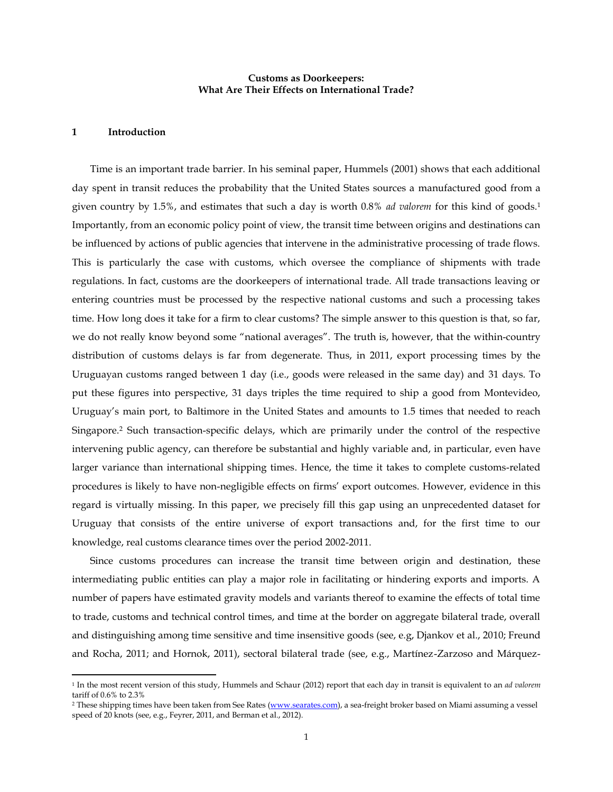# **Customs as Doorkeepers: What Are Their Effects on International Trade?**

### **1 Introduction**

l

Time is an important trade barrier. In his seminal paper, Hummels (2001) shows that each additional day spent in transit reduces the probability that the United States sources a manufactured good from a given country by 1.5%, and estimates that such a day is worth 0.8% *ad valorem* for this kind of goods.<sup>1</sup> Importantly, from an economic policy point of view, the transit time between origins and destinations can be influenced by actions of public agencies that intervene in the administrative processing of trade flows. This is particularly the case with customs, which oversee the compliance of shipments with trade regulations. In fact, customs are the doorkeepers of international trade. All trade transactions leaving or entering countries must be processed by the respective national customs and such a processing takes time. How long does it take for a firm to clear customs? The simple answer to this question is that, so far, we do not really know beyond some "national averages". The truth is, however, that the within-country distribution of customs delays is far from degenerate. Thus, in 2011, export processing times by the Uruguayan customs ranged between 1 day (i.e., goods were released in the same day) and 31 days. To put these figures into perspective, 31 days triples the time required to ship a good from Montevideo, Uruguay's main port, to Baltimore in the United States and amounts to 1.5 times that needed to reach Singapore. <sup>2</sup> Such transaction-specific delays, which are primarily under the control of the respective intervening public agency, can therefore be substantial and highly variable and, in particular, even have larger variance than international shipping times. Hence, the time it takes to complete customs-related procedures is likely to have non-negligible effects on firms' export outcomes. However, evidence in this regard is virtually missing. In this paper, we precisely fill this gap using an unprecedented dataset for Uruguay that consists of the entire universe of export transactions and, for the first time to our knowledge, real customs clearance times over the period 2002-2011.

Since customs procedures can increase the transit time between origin and destination, these intermediating public entities can play a major role in facilitating or hindering exports and imports. A number of papers have estimated gravity models and variants thereof to examine the effects of total time to trade, customs and technical control times, and time at the border on aggregate bilateral trade, overall and distinguishing among time sensitive and time insensitive goods (see, e.g, Djankov et al., 2010; Freund and Rocha, 2011; and Hornok, 2011), sectoral bilateral trade (see, e.g., Martínez-Zarzoso and Márquez-

<sup>1</sup> In the most recent version of this study, Hummels and Schaur (2012) report that each day in transit is equivalent to an *ad valorem* tariff of 0.6% to 2.3%

<sup>&</sup>lt;sup>2</sup> These shipping times have been taken from See Rates [\(www.searates.com\)](http://www.searates.com/), a sea-freight broker based on Miami assuming a vessel speed of 20 knots (see, e.g., Feyrer, 2011, and Berman et al., 2012).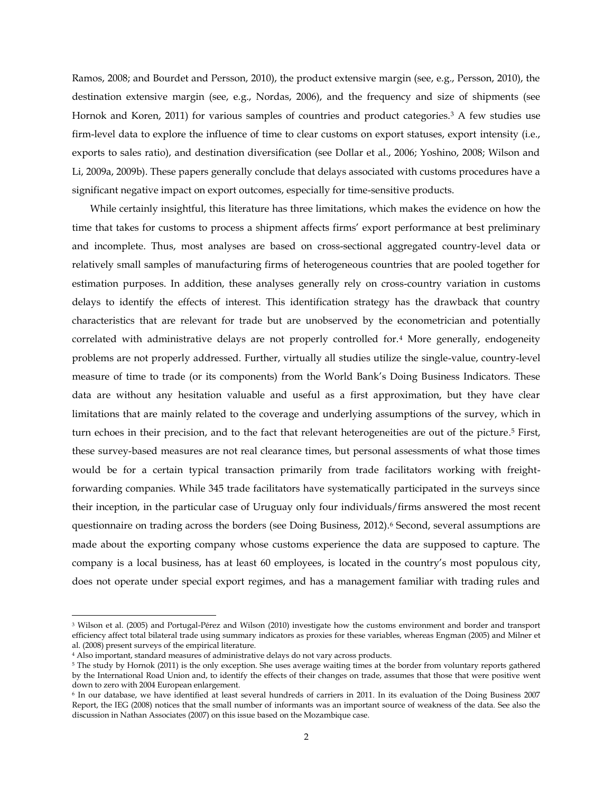Ramos, 2008; and Bourdet and Persson, 2010), the product extensive margin (see, e.g., Persson, 2010), the destination extensive margin (see, e.g., Nordas, 2006), and the frequency and size of shipments (see Hornok and Koren, 2011) for various samples of countries and product categories.<sup>3</sup> A few studies use firm-level data to explore the influence of time to clear customs on export statuses, export intensity (i.e., exports to sales ratio), and destination diversification (see Dollar et al., 2006; Yoshino, 2008; Wilson and Li, 2009a, 2009b). These papers generally conclude that delays associated with customs procedures have a significant negative impact on export outcomes, especially for time-sensitive products.

While certainly insightful, this literature has three limitations, which makes the evidence on how the time that takes for customs to process a shipment affects firms' export performance at best preliminary and incomplete. Thus, most analyses are based on cross-sectional aggregated country-level data or relatively small samples of manufacturing firms of heterogeneous countries that are pooled together for estimation purposes. In addition, these analyses generally rely on cross-country variation in customs delays to identify the effects of interest. This identification strategy has the drawback that country characteristics that are relevant for trade but are unobserved by the econometrician and potentially correlated with administrative delays are not properly controlled for.<sup>4</sup> More generally, endogeneity problems are not properly addressed. Further, virtually all studies utilize the single-value, country-level measure of time to trade (or its components) from the World Bank's Doing Business Indicators. These data are without any hesitation valuable and useful as a first approximation, but they have clear limitations that are mainly related to the coverage and underlying assumptions of the survey, which in turn echoes in their precision, and to the fact that relevant heterogeneities are out of the picture. <sup>5</sup> First, these survey-based measures are not real clearance times, but personal assessments of what those times would be for a certain typical transaction primarily from trade facilitators working with freightforwarding companies. While 345 trade facilitators have systematically participated in the surveys since their inception, in the particular case of Uruguay only four individuals/firms answered the most recent questionnaire on trading across the borders (see Doing Business, 2012).<sup>6</sup> Second, several assumptions are made about the exporting company whose customs experience the data are supposed to capture. The company is a local business, has at least 60 employees, is located in the country's most populous city, does not operate under special export regimes, and has a management familiar with trading rules and

l

<sup>3</sup> Wilson et al. (2005) and Portugal-Pérez and Wilson (2010) investigate how the customs environment and border and transport efficiency affect total bilateral trade using summary indicators as proxies for these variables, whereas Engman (2005) and Milner et al. (2008) present surveys of the empirical literature.

<sup>&</sup>lt;sup>4</sup> Also important, standard measures of administrative delays do not vary across products.

<sup>5</sup> The study by Hornok (2011) is the only exception. She uses average waiting times at the border from voluntary reports gathered by the International Road Union and, to identify the effects of their changes on trade, assumes that those that were positive went down to zero with 2004 European enlargement.

<sup>6</sup> In our database, we have identified at least several hundreds of carriers in 2011. In its evaluation of the Doing Business 2007 Report, the IEG (2008) notices that the small number of informants was an important source of weakness of the data. See also the discussion in Nathan Associates (2007) on this issue based on the Mozambique case.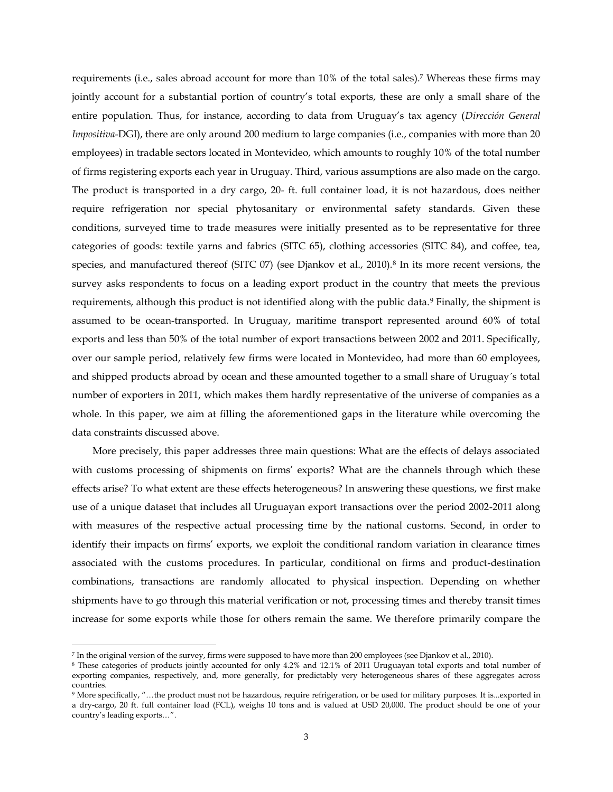requirements (i.e., sales abroad account for more than 10% of the total sales).<sup>7</sup> Whereas these firms may jointly account for a substantial portion of country's total exports, these are only a small share of the entire population. Thus, for instance, according to data from Uruguay's tax agency (*Dirección General Impositiva-DGI*), there are only around 200 medium to large companies (i.e., companies with more than 20 employees) in tradable sectors located in Montevideo, which amounts to roughly 10% of the total number of firms registering exports each year in Uruguay. Third, various assumptions are also made on the cargo. The product is transported in a dry cargo, 20- ft. full container load, it is not hazardous, does neither require refrigeration nor special phytosanitary or environmental safety standards. Given these conditions, surveyed time to trade measures were initially presented as to be representative for three categories of goods: textile yarns and fabrics (SITC 65), clothing accessories (SITC 84), and coffee, tea, species, and manufactured thereof (SITC 07) (see Djankov et al., 2010).<sup>8</sup> In its more recent versions, the survey asks respondents to focus on a leading export product in the country that meets the previous requirements, although this product is not identified along with the public data.<sup>9</sup> Finally, the shipment is assumed to be ocean-transported. In Uruguay, maritime transport represented around 60% of total exports and less than 50% of the total number of export transactions between 2002 and 2011. Specifically, over our sample period, relatively few firms were located in Montevideo, had more than 60 employees, and shipped products abroad by ocean and these amounted together to a small share of Uruguay´s total number of exporters in 2011, which makes them hardly representative of the universe of companies as a whole. In this paper, we aim at filling the aforementioned gaps in the literature while overcoming the data constraints discussed above.

More precisely, this paper addresses three main questions: What are the effects of delays associated with customs processing of shipments on firms' exports? What are the channels through which these effects arise? To what extent are these effects heterogeneous? In answering these questions, we first make use of a unique dataset that includes all Uruguayan export transactions over the period 2002-2011 along with measures of the respective actual processing time by the national customs. Second, in order to identify their impacts on firms' exports, we exploit the conditional random variation in clearance times associated with the customs procedures. In particular, conditional on firms and product-destination combinations, transactions are randomly allocated to physical inspection. Depending on whether shipments have to go through this material verification or not, processing times and thereby transit times increase for some exports while those for others remain the same. We therefore primarily compare the

 $\overline{\phantom{a}}$ 

<sup>7</sup> In the original version of the survey, firms were supposed to have more than 200 employees (see Djankov et al., 2010).

<sup>8</sup> These categories of products jointly accounted for only 4.2% and 12.1% of 2011 Uruguayan total exports and total number of exporting companies, respectively, and, more generally, for predictably very heterogeneous shares of these aggregates across countries.

<sup>9</sup> More specifically, "…the product must not be hazardous, require refrigeration, or be used for military purposes. It is...exported in a dry-cargo, 20 ft. full container load (FCL), weighs 10 tons and is valued at USD 20,000. The product should be one of your country's leading exports…".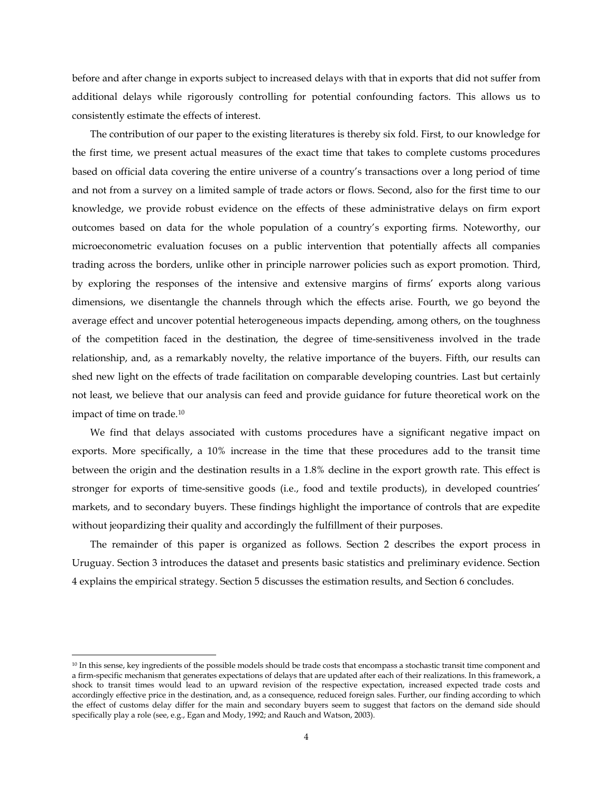before and after change in exports subject to increased delays with that in exports that did not suffer from additional delays while rigorously controlling for potential confounding factors. This allows us to consistently estimate the effects of interest.

The contribution of our paper to the existing literatures is thereby six fold. First, to our knowledge for the first time, we present actual measures of the exact time that takes to complete customs procedures based on official data covering the entire universe of a country's transactions over a long period of time and not from a survey on a limited sample of trade actors or flows. Second, also for the first time to our knowledge, we provide robust evidence on the effects of these administrative delays on firm export outcomes based on data for the whole population of a country's exporting firms. Noteworthy, our microeconometric evaluation focuses on a public intervention that potentially affects all companies trading across the borders, unlike other in principle narrower policies such as export promotion. Third, by exploring the responses of the intensive and extensive margins of firms' exports along various dimensions, we disentangle the channels through which the effects arise. Fourth, we go beyond the average effect and uncover potential heterogeneous impacts depending, among others, on the toughness of the competition faced in the destination, the degree of time-sensitiveness involved in the trade relationship, and, as a remarkably novelty, the relative importance of the buyers. Fifth, our results can shed new light on the effects of trade facilitation on comparable developing countries. Last but certainly not least, we believe that our analysis can feed and provide guidance for future theoretical work on the impact of time on trade.<sup>10</sup>

We find that delays associated with customs procedures have a significant negative impact on exports. More specifically, a 10% increase in the time that these procedures add to the transit time between the origin and the destination results in a 1.8% decline in the export growth rate. This effect is stronger for exports of time-sensitive goods (i.e., food and textile products), in developed countries' markets, and to secondary buyers. These findings highlight the importance of controls that are expedite without jeopardizing their quality and accordingly the fulfillment of their purposes.

The remainder of this paper is organized as follows. Section 2 describes the export process in Uruguay. Section 3 introduces the dataset and presents basic statistics and preliminary evidence. Section 4 explains the empirical strategy. Section 5 discusses the estimation results, and Section 6 concludes.

l

<sup>&</sup>lt;sup>10</sup> In this sense, key ingredients of the possible models should be trade costs that encompass a stochastic transit time component and a firm-specific mechanism that generates expectations of delays that are updated after each of their realizations. In this framework, a shock to transit times would lead to an upward revision of the respective expectation, increased expected trade costs and accordingly effective price in the destination, and, as a consequence, reduced foreign sales. Further, our finding according to which the effect of customs delay differ for the main and secondary buyers seem to suggest that factors on the demand side should specifically play a role (see, e.g., Egan and Mody, 1992; and Rauch and Watson, 2003).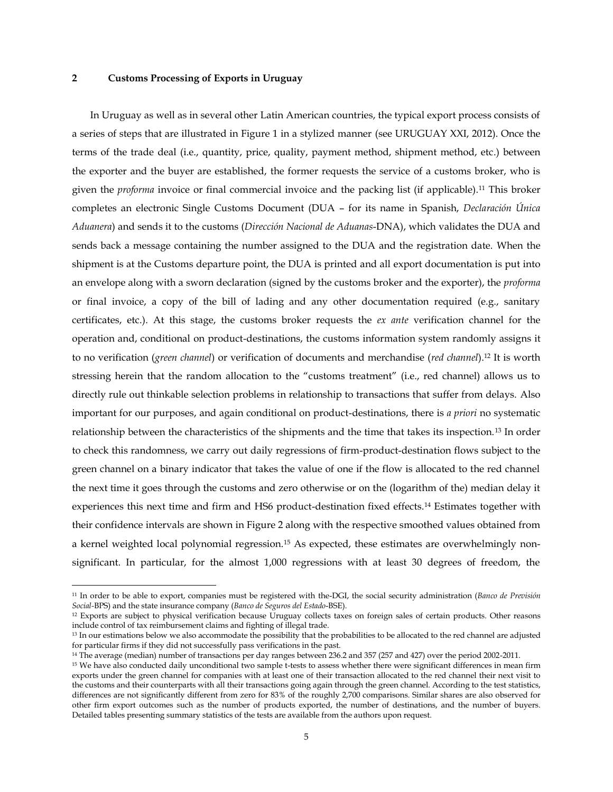# **2 Customs Processing of Exports in Uruguay**

 $\overline{\phantom{a}}$ 

In Uruguay as well as in several other Latin American countries, the typical export process consists of a series of steps that are illustrated in Figure 1 in a stylized manner (see URUGUAY XXI, 2012). Once the terms of the trade deal (i.e., quantity, price, quality, payment method, shipment method, etc.) between the exporter and the buyer are established, the former requests the service of a customs broker, who is given the *proforma* invoice or final commercial invoice and the packing list (if applicable).<sup>11</sup> This broker completes an electronic Single Customs Document (DUA – for its name in Spanish, *Declaración Única Aduanera*) and sends it to the customs (*Dirección Nacional de Aduanas*-DNA), which validates the DUA and sends back a message containing the number assigned to the DUA and the registration date. When the shipment is at the Customs departure point, the DUA is printed and all export documentation is put into an envelope along with a sworn declaration (signed by the customs broker and the exporter), the *proforma* or final invoice, a copy of the bill of lading and any other documentation required (e.g., sanitary certificates, etc.). At this stage, the customs broker requests the *ex ante* verification channel for the operation and, conditional on product-destinations, the customs information system randomly assigns it to no verification (*green channel*) or verification of documents and merchandise (*red channel*).<sup>12</sup> It is worth stressing herein that the random allocation to the "customs treatment" (i.e., red channel) allows us to directly rule out thinkable selection problems in relationship to transactions that suffer from delays. Also important for our purposes, and again conditional on product-destinations, there is *a priori* no systematic relationship between the characteristics of the shipments and the time that takes its inspection.<sup>13</sup> In order to check this randomness, we carry out daily regressions of firm-product-destination flows subject to the green channel on a binary indicator that takes the value of one if the flow is allocated to the red channel the next time it goes through the customs and zero otherwise or on the (logarithm of the) median delay it experiences this next time and firm and HS6 product-destination fixed effects.<sup>14</sup> Estimates together with their confidence intervals are shown in Figure 2 along with the respective smoothed values obtained from a kernel weighted local polynomial regression.<sup>15</sup> As expected, these estimates are overwhelmingly nonsignificant. In particular, for the almost 1,000 regressions with at least 30 degrees of freedom, the

<sup>11</sup> In order to be able to export, companies must be registered with the-DGI, the social security administration (*Banco de Previsión Social-*BPS) and the state insurance company (*Banco de Seguros del Estado*-BSE).

<sup>&</sup>lt;sup>12</sup> Exports are subject to physical verification because Uruguay collects taxes on foreign sales of certain products. Other reasons include control of tax reimbursement claims and fighting of illegal trade.

<sup>&</sup>lt;sup>13</sup> In our estimations below we also accommodate the possibility that the probabilities to be allocated to the red channel are adjusted for particular firms if they did not successfully pass verifications in the past.

<sup>14</sup> The average (median) number of transactions per day ranges between 236.2 and 357 (257 and 427) over the period 2002-2011.

<sup>15</sup> We have also conducted daily unconditional two sample t-tests to assess whether there were significant differences in mean firm exports under the green channel for companies with at least one of their transaction allocated to the red channel their next visit to the customs and their counterparts with all their transactions going again through the green channel. According to the test statistics, differences are not significantly different from zero for 83% of the roughly 2,700 comparisons. Similar shares are also observed for other firm export outcomes such as the number of products exported, the number of destinations, and the number of buyers. Detailed tables presenting summary statistics of the tests are available from the authors upon request.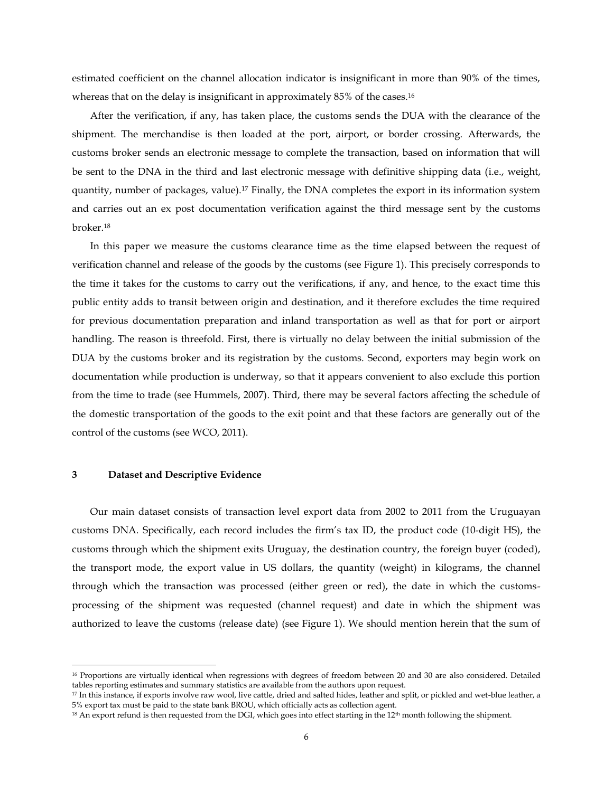estimated coefficient on the channel allocation indicator is insignificant in more than 90% of the times, whereas that on the delay is insignificant in approximately 85% of the cases.<sup>16</sup>

After the verification, if any, has taken place, the customs sends the DUA with the clearance of the shipment. The merchandise is then loaded at the port, airport, or border crossing. Afterwards, the customs broker sends an electronic message to complete the transaction, based on information that will be sent to the DNA in the third and last electronic message with definitive shipping data (i.e., weight, quantity, number of packages, value).<sup>17</sup> Finally, the DNA completes the export in its information system and carries out an ex post documentation verification against the third message sent by the customs broker.<sup>18</sup>

In this paper we measure the customs clearance time as the time elapsed between the request of verification channel and release of the goods by the customs (see Figure 1). This precisely corresponds to the time it takes for the customs to carry out the verifications, if any, and hence, to the exact time this public entity adds to transit between origin and destination, and it therefore excludes the time required for previous documentation preparation and inland transportation as well as that for port or airport handling. The reason is threefold. First, there is virtually no delay between the initial submission of the DUA by the customs broker and its registration by the customs. Second, exporters may begin work on documentation while production is underway, so that it appears convenient to also exclude this portion from the time to trade (see Hummels, 2007). Third, there may be several factors affecting the schedule of the domestic transportation of the goods to the exit point and that these factors are generally out of the control of the customs (see WCO, 2011).

#### **3 Dataset and Descriptive Evidence**

 $\overline{\phantom{a}}$ 

Our main dataset consists of transaction level export data from 2002 to 2011 from the Uruguayan customs DNA. Specifically, each record includes the firm's tax ID, the product code (10-digit HS), the customs through which the shipment exits Uruguay, the destination country, the foreign buyer (coded), the transport mode, the export value in US dollars, the quantity (weight) in kilograms, the channel through which the transaction was processed (either green or red), the date in which the customsprocessing of the shipment was requested (channel request) and date in which the shipment was authorized to leave the customs (release date) (see Figure 1). We should mention herein that the sum of

<sup>16</sup> Proportions are virtually identical when regressions with degrees of freedom between 20 and 30 are also considered. Detailed tables reporting estimates and summary statistics are available from the authors upon request.

<sup>17</sup> In this instance, if exports involve raw wool, live cattle, dried and salted hides, leather and split, or pickled and wet-blue leather, a 5% export tax must be paid to the state bank BROU, which officially acts as collection agent.

 $18$  An export refund is then requested from the DGI, which goes into effect starting in the  $12<sup>th</sup>$  month following the shipment.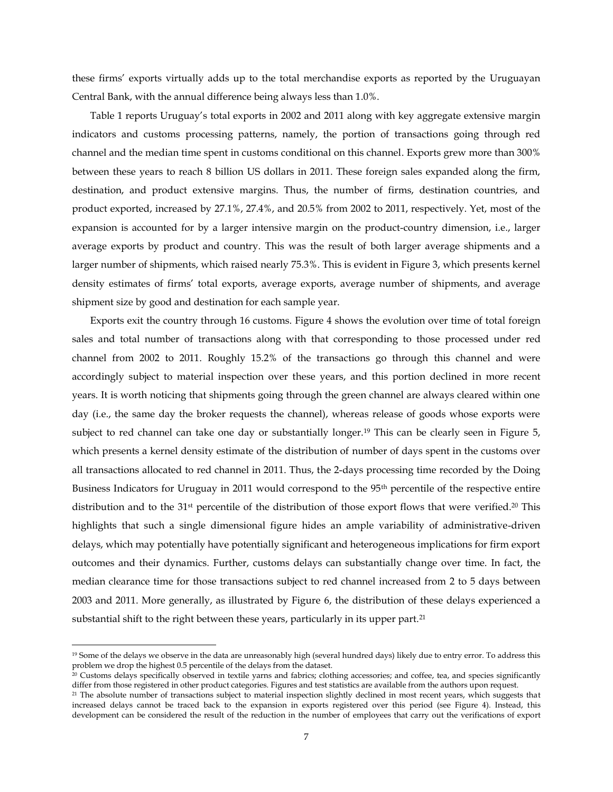these firms' exports virtually adds up to the total merchandise exports as reported by the Uruguayan Central Bank, with the annual difference being always less than 1.0%.

Table 1 reports Uruguay's total exports in 2002 and 2011 along with key aggregate extensive margin indicators and customs processing patterns, namely, the portion of transactions going through red channel and the median time spent in customs conditional on this channel. Exports grew more than 300% between these years to reach 8 billion US dollars in 2011. These foreign sales expanded along the firm, destination, and product extensive margins. Thus, the number of firms, destination countries, and product exported, increased by 27.1%, 27.4%, and 20.5% from 2002 to 2011, respectively. Yet, most of the expansion is accounted for by a larger intensive margin on the product-country dimension, i.e., larger average exports by product and country. This was the result of both larger average shipments and a larger number of shipments, which raised nearly 75.3%. This is evident in Figure 3, which presents kernel density estimates of firms' total exports, average exports, average number of shipments, and average shipment size by good and destination for each sample year.

Exports exit the country through 16 customs. Figure 4 shows the evolution over time of total foreign sales and total number of transactions along with that corresponding to those processed under red channel from 2002 to 2011. Roughly 15.2% of the transactions go through this channel and were accordingly subject to material inspection over these years, and this portion declined in more recent years. It is worth noticing that shipments going through the green channel are always cleared within one day (i.e., the same day the broker requests the channel), whereas release of goods whose exports were subject to red channel can take one day or substantially longer.<sup>19</sup> This can be clearly seen in Figure 5, which presents a kernel density estimate of the distribution of number of days spent in the customs over all transactions allocated to red channel in 2011. Thus, the 2-days processing time recorded by the Doing Business Indicators for Uruguay in 2011 would correspond to the 95th percentile of the respective entire distribution and to the 31<sup>st</sup> percentile of the distribution of those export flows that were verified.<sup>20</sup> This highlights that such a single dimensional figure hides an ample variability of administrative-driven delays, which may potentially have potentially significant and heterogeneous implications for firm export outcomes and their dynamics. Further, customs delays can substantially change over time. In fact, the median clearance time for those transactions subject to red channel increased from 2 to 5 days between 2003 and 2011. More generally, as illustrated by Figure 6, the distribution of these delays experienced a substantial shift to the right between these years, particularly in its upper part.<sup>21</sup>

 $\overline{\phantom{a}}$ 

<sup>&</sup>lt;sup>19</sup> Some of the delays we observe in the data are unreasonably high (several hundred days) likely due to entry error. To address this problem we drop the highest 0.5 percentile of the delays from the dataset.

<sup>&</sup>lt;sup>20</sup> Customs delays specifically observed in textile yarns and fabrics; clothing accessories; and coffee, tea, and species significantly differ from those registered in other product categories. Figures and test statistics are available from the authors upon request.

<sup>&</sup>lt;sup>21</sup> The absolute number of transactions subject to material inspection slightly declined in most recent years, which suggests that increased delays cannot be traced back to the expansion in exports registered over this period (see Figure 4). Instead, this development can be considered the result of the reduction in the number of employees that carry out the verifications of export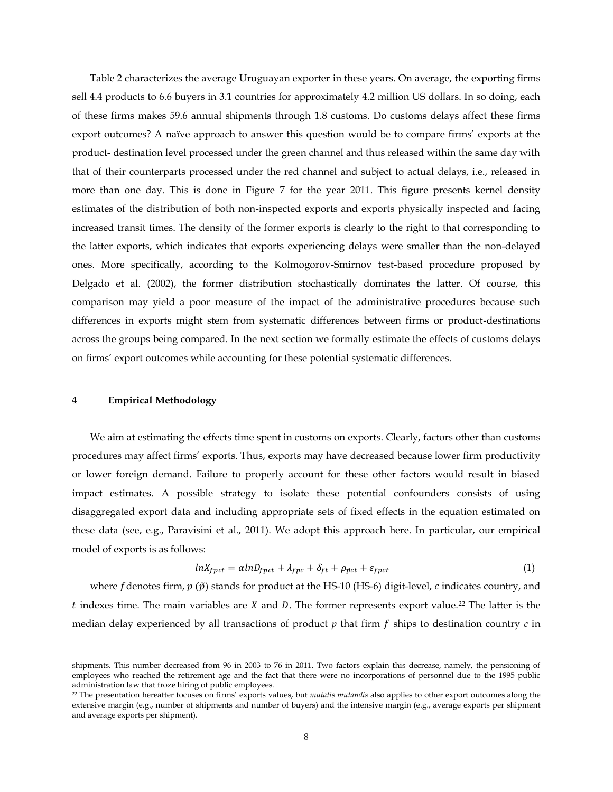Table 2 characterizes the average Uruguayan exporter in these years. On average, the exporting firms sell 4.4 products to 6.6 buyers in 3.1 countries for approximately 4.2 million US dollars. In so doing, each of these firms makes 59.6 annual shipments through 1.8 customs. Do customs delays affect these firms export outcomes? A naïve approach to answer this question would be to compare firms' exports at the product- destination level processed under the green channel and thus released within the same day with that of their counterparts processed under the red channel and subject to actual delays, i.e., released in more than one day. This is done in Figure 7 for the year 2011. This figure presents kernel density estimates of the distribution of both non-inspected exports and exports physically inspected and facing increased transit times. The density of the former exports is clearly to the right to that corresponding to the latter exports, which indicates that exports experiencing delays were smaller than the non-delayed ones. More specifically, according to the Kolmogorov-Smirnov test-based procedure proposed by Delgado et al. (2002), the former distribution stochastically dominates the latter. Of course, this comparison may yield a poor measure of the impact of the administrative procedures because such differences in exports might stem from systematic differences between firms or product-destinations across the groups being compared. In the next section we formally estimate the effects of customs delays on firms' export outcomes while accounting for these potential systematic differences.

#### **4 Empirical Methodology**

l

We aim at estimating the effects time spent in customs on exports. Clearly, factors other than customs procedures may affect firms' exports. Thus, exports may have decreased because lower firm productivity or lower foreign demand. Failure to properly account for these other factors would result in biased impact estimates. A possible strategy to isolate these potential confounders consists of using disaggregated export data and including appropriate sets of fixed effects in the equation estimated on these data (see, e.g., Paravisini et al., 2011). We adopt this approach here. In particular, our empirical model of exports is as follows:

$$
lnX_{fpct} = \alpha lnD_{fpct} + \lambda_{fpc} + \delta_{ft} + \rho_{\tilde{p}ct} + \varepsilon_{fpct}
$$
\n
$$
\tag{1}
$$

where f denotes firm,  $p(\tilde{p})$  stands for product at the HS-10 (HS-6) digit-level, c indicates country, and t indexes time. The main variables are  $X$  and  $D$ . The former represents export value.<sup>22</sup> The latter is the median delay experienced by all transactions of product  $p$  that firm  $f$  ships to destination country  $c$  in

shipments. This number decreased from 96 in 2003 to 76 in 2011. Two factors explain this decrease, namely, the pensioning of employees who reached the retirement age and the fact that there were no incorporations of personnel due to the 1995 public administration law that froze hiring of public employees.

<sup>22</sup> The presentation hereafter focuses on firms' exports values, but *mutatis mutandis* also applies to other export outcomes along the extensive margin (e.g., number of shipments and number of buyers) and the intensive margin (e.g., average exports per shipment and average exports per shipment).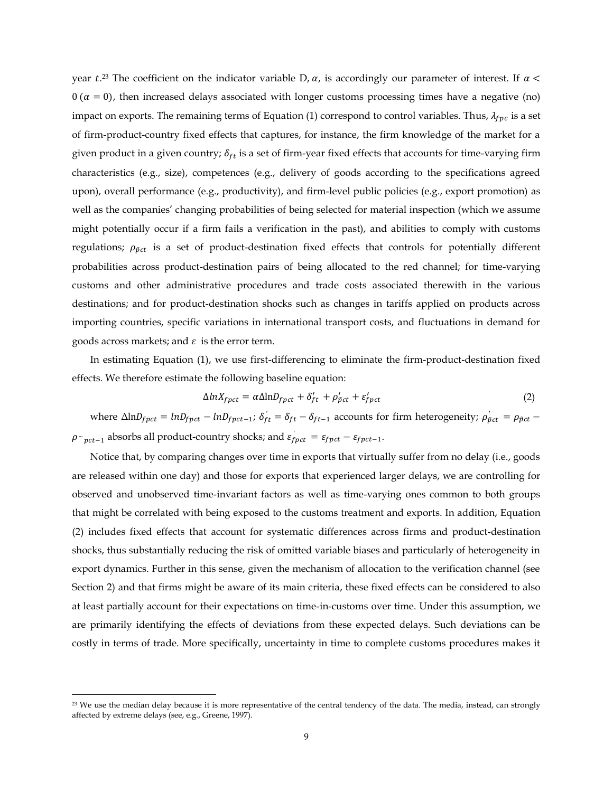year  $t^{23}$ . The coefficient on the indicator variable D,  $\alpha$ , is accordingly our parameter of interest. If  $0 \, (\alpha = 0)$ , then increased delays associated with longer customs processing times have a negative (no) impact on exports. The remaining terms of Equation (1) correspond to control variables. Thus,  $\lambda_{fpc}$  is a set of firm-product-country fixed effects that captures, for instance, the firm knowledge of the market for a given product in a given country;  $\delta_{ft}$  is a set of firm-year fixed effects that accounts for time-varying firm characteristics (e.g., size), competences (e.g., delivery of goods according to the specifications agreed upon), overall performance (e.g., productivity), and firm-level public policies (e.g., export promotion) as well as the companies' changing probabilities of being selected for material inspection (which we assume might potentially occur if a firm fails a verification in the past), and abilities to comply with customs regulations;  $\rho_{\tilde{p}ct}$  is a set of product-destination fixed effects that controls for potentially different probabilities across product-destination pairs of being allocated to the red channel; for time-varying customs and other administrative procedures and trade costs associated therewith in the various destinations; and for product-destination shocks such as changes in tariffs applied on products across importing countries, specific variations in international transport costs, and fluctuations in demand for goods across markets; and  $\varepsilon$  is the error term.

In estimating Equation (1), we use first-differencing to eliminate the firm-product-destination fixed effects. We therefore estimate the following baseline equation:

$$
\Delta ln X_{fpt} = \alpha \Delta ln D_{fpt} + \delta'_{ft} + \rho'_{\tilde{p}ct} + \varepsilon'_{fpt} \tag{2}
$$

where  $\Delta$ ln $D_{fpt}$  =  $ln D_{fpt}$  –  $ln D_{fpt-t}$ ;  $\delta_{ft}' = \delta_{ft} - \delta_{ft-1}$  accounts for firm heterogeneity;  $\rho_{\tilde{p}ct} = \rho_{\tilde{p}ct}$  $\rho_{\text{c}}_{\text{pct}-1}$  absorbs all product-country shocks; and  $\varepsilon_{\text{pct}}^{'} = \varepsilon_{\text{pct}} - \varepsilon_{\text{pct}-1}$ .

Notice that, by comparing changes over time in exports that virtually suffer from no delay (i.e., goods are released within one day) and those for exports that experienced larger delays, we are controlling for observed and unobserved time-invariant factors as well as time-varying ones common to both groups that might be correlated with being exposed to the customs treatment and exports. In addition, Equation (2) includes fixed effects that account for systematic differences across firms and product-destination shocks, thus substantially reducing the risk of omitted variable biases and particularly of heterogeneity in export dynamics. Further in this sense, given the mechanism of allocation to the verification channel (see Section 2) and that firms might be aware of its main criteria, these fixed effects can be considered to also at least partially account for their expectations on time-in-customs over time. Under this assumption, we are primarily identifying the effects of deviations from these expected delays. Such deviations can be costly in terms of trade. More specifically, uncertainty in time to complete customs procedures makes it

 $\overline{a}$ 

<sup>&</sup>lt;sup>23</sup> We use the median delay because it is more representative of the central tendency of the data. The media, instead, can strongly affected by extreme delays (see, e.g., Greene, 1997).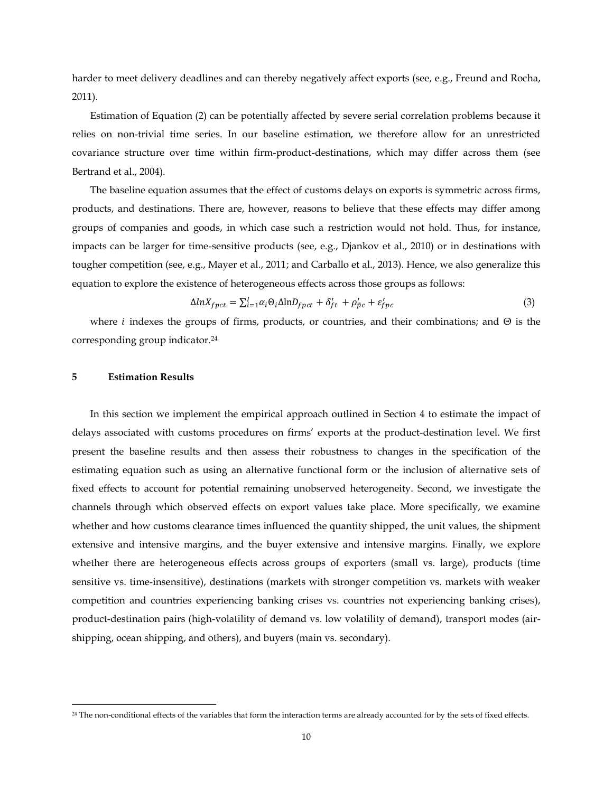harder to meet delivery deadlines and can thereby negatively affect exports (see, e.g., Freund and Rocha, 2011).

Estimation of Equation (2) can be potentially affected by severe serial correlation problems because it relies on non-trivial time series. In our baseline estimation, we therefore allow for an unrestricted covariance structure over time within firm-product-destinations, which may differ across them (see Bertrand et al., 2004).

The baseline equation assumes that the effect of customs delays on exports is symmetric across firms, products, and destinations. There are, however, reasons to believe that these effects may differ among groups of companies and goods, in which case such a restriction would not hold. Thus, for instance, impacts can be larger for time-sensitive products (see, e.g., Djankov et al., 2010) or in destinations with tougher competition (see, e.g., Mayer et al., 2011; and Carballo et al., 2013). Hence, we also generalize this equation to explore the existence of heterogeneous effects across those groups as follows:

$$
\Delta ln X_{fpct} = \sum_{i=1}^{I} \alpha_i \Theta_i \Delta ln D_{fpct} + \delta'_{ft} + \rho'_{\tilde{p}c} + \varepsilon'_{fpc}
$$
\n(3)

where *i* indexes the groups of firms, products, or countries, and their combinations; and  $\Theta$  is the corresponding group indicator.<sup>24</sup>

#### **5 Estimation Results**

 $\overline{\phantom{a}}$ 

In this section we implement the empirical approach outlined in Section 4 to estimate the impact of delays associated with customs procedures on firms' exports at the product-destination level. We first present the baseline results and then assess their robustness to changes in the specification of the estimating equation such as using an alternative functional form or the inclusion of alternative sets of fixed effects to account for potential remaining unobserved heterogeneity. Second, we investigate the channels through which observed effects on export values take place. More specifically, we examine whether and how customs clearance times influenced the quantity shipped, the unit values, the shipment extensive and intensive margins, and the buyer extensive and intensive margins. Finally, we explore whether there are heterogeneous effects across groups of exporters (small vs. large), products (time sensitive vs. time-insensitive), destinations (markets with stronger competition vs. markets with weaker competition and countries experiencing banking crises vs. countries not experiencing banking crises), product-destination pairs (high-volatility of demand vs. low volatility of demand), transport modes (airshipping, ocean shipping, and others), and buyers (main vs. secondary).

<sup>&</sup>lt;sup>24</sup> The non-conditional effects of the variables that form the interaction terms are already accounted for by the sets of fixed effects.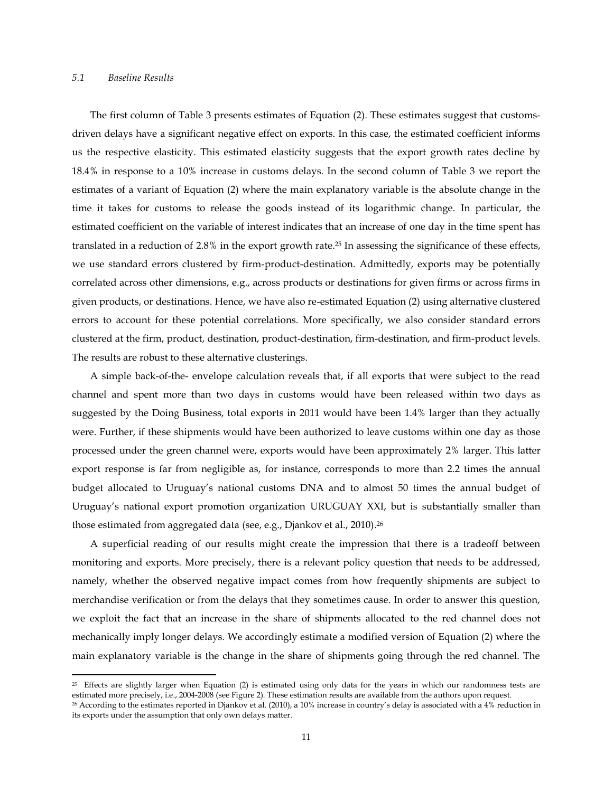## *5.1 Baseline Results*

l

The first column of Table 3 presents estimates of Equation (2). These estimates suggest that customsdriven delays have a significant negative effect on exports. In this case, the estimated coefficient informs us the respective elasticity. This estimated elasticity suggests that the export growth rates decline by 18.4% in response to a 10% increase in customs delays. In the second column of Table 3 we report the estimates of a variant of Equation (2) where the main explanatory variable is the absolute change in the time it takes for customs to release the goods instead of its logarithmic change. In particular, the estimated coefficient on the variable of interest indicates that an increase of one day in the time spent has translated in a reduction of 2.8% in the export growth rate. <sup>25</sup> In assessing the significance of these effects, we use standard errors clustered by firm-product-destination. Admittedly, exports may be potentially correlated across other dimensions, e.g., across products or destinations for given firms or across firms in given products, or destinations. Hence, we have also re-estimated Equation (2) using alternative clustered errors to account for these potential correlations. More specifically, we also consider standard errors clustered at the firm, product, destination, product-destination, firm-destination, and firm-product levels. The results are robust to these alternative clusterings.

A simple back-of-the- envelope calculation reveals that, if all exports that were subject to the read channel and spent more than two days in customs would have been released within two days as suggested by the Doing Business, total exports in 2011 would have been 1.4% larger than they actually were. Further, if these shipments would have been authorized to leave customs within one day as those processed under the green channel were, exports would have been approximately 2% larger. This latter export response is far from negligible as, for instance, corresponds to more than 2.2 times the annual budget allocated to Uruguay's national customs DNA and to almost 50 times the annual budget of Uruguay's national export promotion organization URUGUAY XXI, but is substantially smaller than those estimated from aggregated data (see, e.g., Djankov et al., 2010). 26

A superficial reading of our results might create the impression that there is a tradeoff between monitoring and exports. More precisely, there is a relevant policy question that needs to be addressed, namely, whether the observed negative impact comes from how frequently shipments are subject to merchandise verification or from the delays that they sometimes cause. In order to answer this question, we exploit the fact that an increase in the share of shipments allocated to the red channel does not mechanically imply longer delays. We accordingly estimate a modified version of Equation (2) where the main explanatory variable is the change in the share of shipments going through the red channel. The

 $25$  Effects are slightly larger when Equation (2) is estimated using only data for the years in which our randomness tests are estimated more precisely, i.e., 2004-2008 (see Figure 2). These estimation results are available from the authors upon request.

<sup>26</sup> According to the estimates reported in Djankov et al. (2010), a 10% increase in country's delay is associated with a 4% reduction in its exports under the assumption that only own delays matter.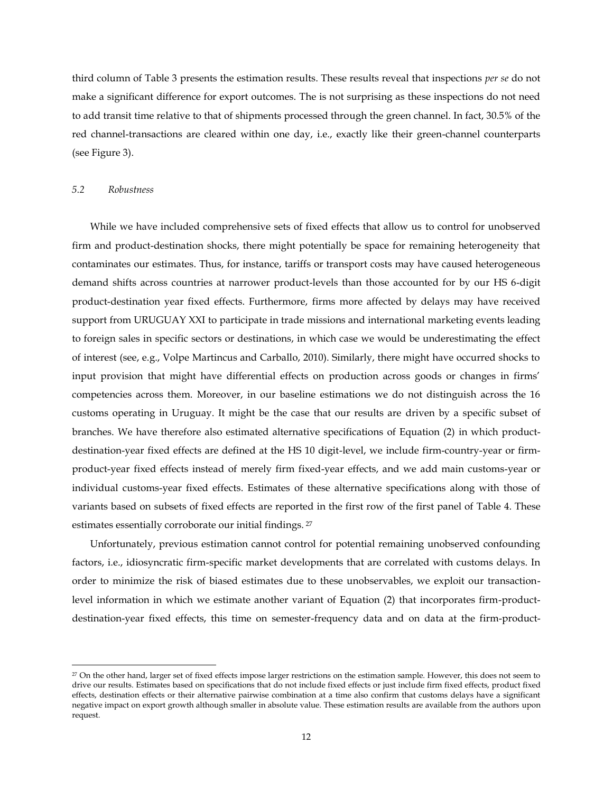third column of Table 3 presents the estimation results. These results reveal that inspections *per se* do not make a significant difference for export outcomes. The is not surprising as these inspections do not need to add transit time relative to that of shipments processed through the green channel. In fact, 30.5% of the red channel-transactions are cleared within one day, i.e., exactly like their green-channel counterparts (see Figure 3).

### *5.2 Robustness*

 $\overline{\phantom{a}}$ 

While we have included comprehensive sets of fixed effects that allow us to control for unobserved firm and product-destination shocks, there might potentially be space for remaining heterogeneity that contaminates our estimates. Thus, for instance, tariffs or transport costs may have caused heterogeneous demand shifts across countries at narrower product-levels than those accounted for by our HS 6-digit product-destination year fixed effects. Furthermore, firms more affected by delays may have received support from URUGUAY XXI to participate in trade missions and international marketing events leading to foreign sales in specific sectors or destinations, in which case we would be underestimating the effect of interest (see, e.g., Volpe Martincus and Carballo, 2010). Similarly, there might have occurred shocks to input provision that might have differential effects on production across goods or changes in firms' competencies across them. Moreover, in our baseline estimations we do not distinguish across the 16 customs operating in Uruguay. It might be the case that our results are driven by a specific subset of branches. We have therefore also estimated alternative specifications of Equation (2) in which productdestination-year fixed effects are defined at the HS 10 digit-level, we include firm-country-year or firmproduct-year fixed effects instead of merely firm fixed-year effects, and we add main customs-year or individual customs-year fixed effects. Estimates of these alternative specifications along with those of variants based on subsets of fixed effects are reported in the first row of the first panel of Table 4. These estimates essentially corroborate our initial findings. <sup>27</sup>

Unfortunately, previous estimation cannot control for potential remaining unobserved confounding factors, i.e., idiosyncratic firm-specific market developments that are correlated with customs delays. In order to minimize the risk of biased estimates due to these unobservables, we exploit our transactionlevel information in which we estimate another variant of Equation (2) that incorporates firm-productdestination-year fixed effects, this time on semester-frequency data and on data at the firm-product-

<sup>&</sup>lt;sup>27</sup> On the other hand, larger set of fixed effects impose larger restrictions on the estimation sample. However, this does not seem to drive our results. Estimates based on specifications that do not include fixed effects or just include firm fixed effects, product fixed effects, destination effects or their alternative pairwise combination at a time also confirm that customs delays have a significant negative impact on export growth although smaller in absolute value. These estimation results are available from the authors upon request.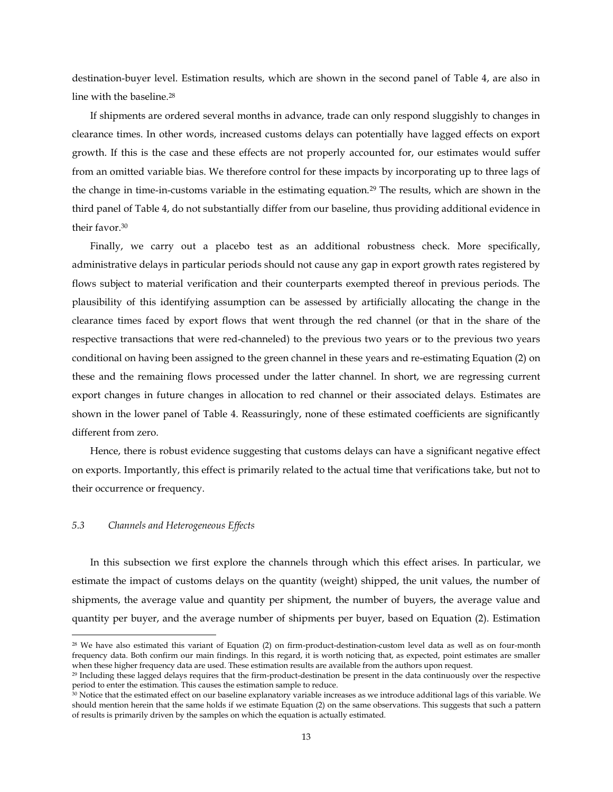destination-buyer level. Estimation results, which are shown in the second panel of Table 4, are also in line with the baseline.<sup>28</sup>

If shipments are ordered several months in advance, trade can only respond sluggishly to changes in clearance times. In other words, increased customs delays can potentially have lagged effects on export growth. If this is the case and these effects are not properly accounted for, our estimates would suffer from an omitted variable bias. We therefore control for these impacts by incorporating up to three lags of the change in time-in-customs variable in the estimating equation.<sup>29</sup> The results, which are shown in the third panel of Table 4, do not substantially differ from our baseline, thus providing additional evidence in their favor.<sup>30</sup>

Finally, we carry out a placebo test as an additional robustness check. More specifically, administrative delays in particular periods should not cause any gap in export growth rates registered by flows subject to material verification and their counterparts exempted thereof in previous periods. The plausibility of this identifying assumption can be assessed by artificially allocating the change in the clearance times faced by export flows that went through the red channel (or that in the share of the respective transactions that were red-channeled) to the previous two years or to the previous two years conditional on having been assigned to the green channel in these years and re-estimating Equation (2) on these and the remaining flows processed under the latter channel. In short, we are regressing current export changes in future changes in allocation to red channel or their associated delays. Estimates are shown in the lower panel of Table 4. Reassuringly, none of these estimated coefficients are significantly different from zero.

Hence, there is robust evidence suggesting that customs delays can have a significant negative effect on exports. Importantly, this effect is primarily related to the actual time that verifications take, but not to their occurrence or frequency.

#### *5.3 Channels and Heterogeneous Effects*

 $\overline{a}$ 

In this subsection we first explore the channels through which this effect arises. In particular, we estimate the impact of customs delays on the quantity (weight) shipped, the unit values, the number of shipments, the average value and quantity per shipment, the number of buyers, the average value and quantity per buyer, and the average number of shipments per buyer, based on Equation (2). Estimation

<sup>28</sup> We have also estimated this variant of Equation (2) on firm-product-destination-custom level data as well as on four-month frequency data. Both confirm our main findings. In this regard, it is worth noticing that, as expected, point estimates are smaller when these higher frequency data are used. These estimation results are available from the authors upon request.

<sup>29</sup> Including these lagged delays requires that the firm-product-destination be present in the data continuously over the respective period to enter the estimation. This causes the estimation sample to reduce.

<sup>&</sup>lt;sup>1</sup><br><sup>30</sup> Notice that the estimated effect on our baseline explanatory variable increases as we introduce additional lags of this variable. We should mention herein that the same holds if we estimate Equation (2) on the same observations. This suggests that such a pattern of results is primarily driven by the samples on which the equation is actually estimated.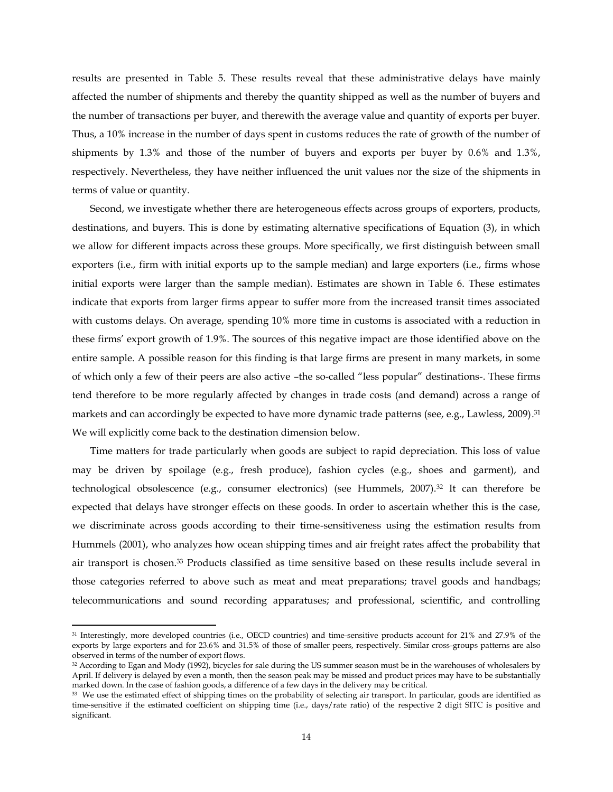results are presented in Table 5. These results reveal that these administrative delays have mainly affected the number of shipments and thereby the quantity shipped as well as the number of buyers and the number of transactions per buyer, and therewith the average value and quantity of exports per buyer. Thus, a 10% increase in the number of days spent in customs reduces the rate of growth of the number of shipments by 1.3% and those of the number of buyers and exports per buyer by 0.6% and 1.3%, respectively. Nevertheless, they have neither influenced the unit values nor the size of the shipments in terms of value or quantity.

Second, we investigate whether there are heterogeneous effects across groups of exporters, products, destinations, and buyers. This is done by estimating alternative specifications of Equation (3), in which we allow for different impacts across these groups. More specifically, we first distinguish between small exporters (i.e., firm with initial exports up to the sample median) and large exporters (i.e., firms whose initial exports were larger than the sample median). Estimates are shown in Table 6. These estimates indicate that exports from larger firms appear to suffer more from the increased transit times associated with customs delays. On average, spending 10% more time in customs is associated with a reduction in these firms' export growth of 1.9%. The sources of this negative impact are those identified above on the entire sample. A possible reason for this finding is that large firms are present in many markets, in some of which only a few of their peers are also active –the so-called "less popular" destinations-. These firms tend therefore to be more regularly affected by changes in trade costs (and demand) across a range of markets and can accordingly be expected to have more dynamic trade patterns (see, e.g., Lawless, 2009). 31 We will explicitly come back to the destination dimension below.

Time matters for trade particularly when goods are subject to rapid depreciation. This loss of value may be driven by spoilage (e.g., fresh produce), fashion cycles (e.g., shoes and garment), and technological obsolescence (e.g., consumer electronics) (see Hummels, 2007).<sup>32</sup> It can therefore be expected that delays have stronger effects on these goods. In order to ascertain whether this is the case, we discriminate across goods according to their time-sensitiveness using the estimation results from Hummels (2001), who analyzes how ocean shipping times and air freight rates affect the probability that air transport is chosen. <sup>33</sup> Products classified as time sensitive based on these results include several in those categories referred to above such as meat and meat preparations; travel goods and handbags; telecommunications and sound recording apparatuses; and professional, scientific, and controlling

 $\overline{\phantom{a}}$ 

<sup>&</sup>lt;sup>31</sup> Interestingly, more developed countries (i.e., OECD countries) and time-sensitive products account for 21% and 27.9% of the exports by large exporters and for 23.6% and 31.5% of those of smaller peers, respectively. Similar cross-groups patterns are also observed in terms of the number of export flows.

<sup>32</sup> According to Egan and Mody (1992), bicycles for sale during the US summer season must be in the warehouses of wholesalers by April. If delivery is delayed by even a month, then the season peak may be missed and product prices may have to be substantially marked down. In the case of fashion goods, a difference of a few days in the delivery may be critical.

<sup>&</sup>lt;sup>33</sup> We use the estimated effect of shipping times on the probability of selecting air transport. In particular, goods are identified as time-sensitive if the estimated coefficient on shipping time (i.e., days/rate ratio) of the respective 2 digit SITC is positive and significant.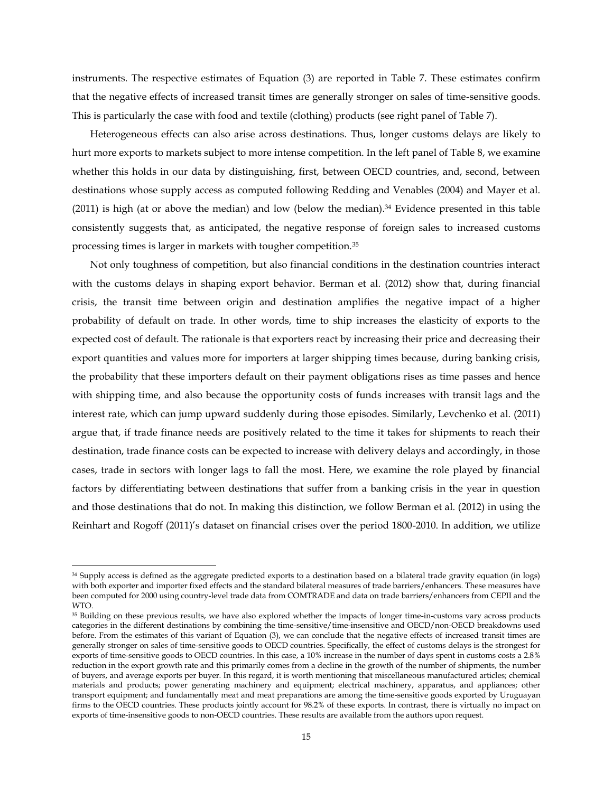instruments. The respective estimates of Equation (3) are reported in Table 7. These estimates confirm that the negative effects of increased transit times are generally stronger on sales of time-sensitive goods. This is particularly the case with food and textile (clothing) products (see right panel of Table 7).

Heterogeneous effects can also arise across destinations. Thus, longer customs delays are likely to hurt more exports to markets subject to more intense competition. In the left panel of Table 8, we examine whether this holds in our data by distinguishing, first, between OECD countries, and, second, between destinations whose supply access as computed following Redding and Venables (2004) and Mayer et al. (2011) is high (at or above the median) and low (below the median). <sup>34</sup> Evidence presented in this table consistently suggests that, as anticipated, the negative response of foreign sales to increased customs processing times is larger in markets with tougher competition.<sup>35</sup>

Not only toughness of competition, but also financial conditions in the destination countries interact with the customs delays in shaping export behavior. Berman et al. (2012) show that, during financial crisis, the transit time between origin and destination amplifies the negative impact of a higher probability of default on trade. In other words, time to ship increases the elasticity of exports to the expected cost of default. The rationale is that exporters react by increasing their price and decreasing their export quantities and values more for importers at larger shipping times because, during banking crisis, the probability that these importers default on their payment obligations rises as time passes and hence with shipping time, and also because the opportunity costs of funds increases with transit lags and the interest rate, which can jump upward suddenly during those episodes. Similarly, Levchenko et al. (2011) argue that, if trade finance needs are positively related to the time it takes for shipments to reach their destination, trade finance costs can be expected to increase with delivery delays and accordingly, in those cases, trade in sectors with longer lags to fall the most. Here, we examine the role played by financial factors by differentiating between destinations that suffer from a banking crisis in the year in question and those destinations that do not. In making this distinction, we follow Berman et al. (2012) in using the Reinhart and Rogoff (2011)'s dataset on financial crises over the period 1800-2010. In addition, we utilize

 $\overline{\phantom{a}}$ 

<sup>&</sup>lt;sup>34</sup> Supply access is defined as the aggregate predicted exports to a destination based on a bilateral trade gravity equation (in logs) with both exporter and importer fixed effects and the standard bilateral measures of trade barriers/enhancers. These measures have been computed for 2000 using country-level trade data from COMTRADE and data on trade barriers/enhancers from CEPII and the WTO.

<sup>&</sup>lt;sup>35</sup> Building on these previous results, we have also explored whether the impacts of longer time-in-customs vary across products categories in the different destinations by combining the time-sensitive/time-insensitive and OECD/non-OECD breakdowns used before. From the estimates of this variant of Equation (3), we can conclude that the negative effects of increased transit times are generally stronger on sales of time-sensitive goods to OECD countries. Specifically, the effect of customs delays is the strongest for exports of time-sensitive goods to OECD countries. In this case, a 10% increase in the number of days spent in customs costs a 2.8% reduction in the export growth rate and this primarily comes from a decline in the growth of the number of shipments, the number of buyers, and average exports per buyer. In this regard, it is worth mentioning that miscellaneous manufactured articles; chemical materials and products; power generating machinery and equipment; electrical machinery, apparatus, and appliances; other transport equipment; and fundamentally meat and meat preparations are among the time-sensitive goods exported by Uruguayan firms to the OECD countries. These products jointly account for 98.2% of these exports. In contrast, there is virtually no impact on exports of time-insensitive goods to non-OECD countries. These results are available from the authors upon request.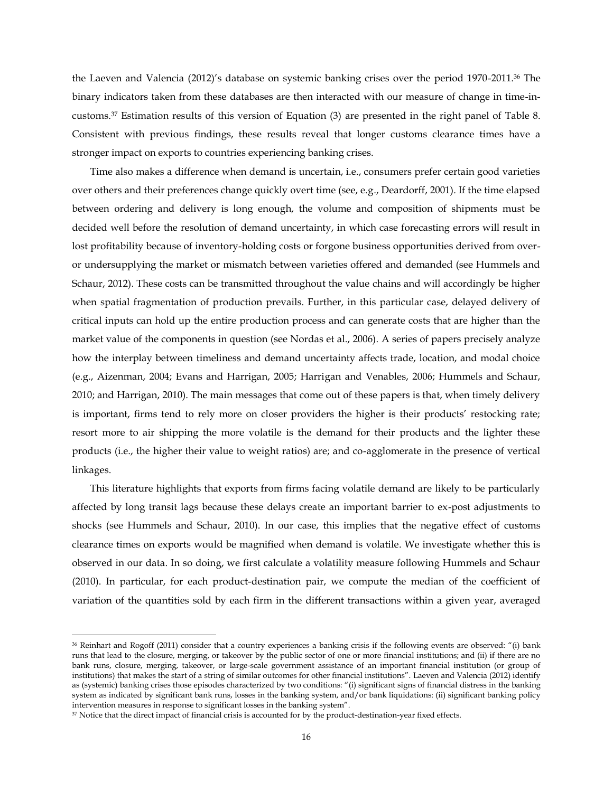the Laeven and Valencia (2012)'s database on systemic banking crises over the period 1970-2011.<sup>36</sup> The binary indicators taken from these databases are then interacted with our measure of change in time-incustoms.<sup>37</sup> Estimation results of this version of Equation (3) are presented in the right panel of Table 8. Consistent with previous findings, these results reveal that longer customs clearance times have a stronger impact on exports to countries experiencing banking crises.

Time also makes a difference when demand is uncertain, i.e., consumers prefer certain good varieties over others and their preferences change quickly overt time (see, e.g., Deardorff, 2001). If the time elapsed between ordering and delivery is long enough, the volume and composition of shipments must be decided well before the resolution of demand uncertainty, in which case forecasting errors will result in lost profitability because of inventory-holding costs or forgone business opportunities derived from overor undersupplying the market or mismatch between varieties offered and demanded (see Hummels and Schaur, 2012). These costs can be transmitted throughout the value chains and will accordingly be higher when spatial fragmentation of production prevails. Further, in this particular case, delayed delivery of critical inputs can hold up the entire production process and can generate costs that are higher than the market value of the components in question (see Nordas et al., 2006). A series of papers precisely analyze how the interplay between timeliness and demand uncertainty affects trade, location, and modal choice (e.g., Aizenman, 2004; Evans and Harrigan, 2005; Harrigan and Venables, 2006; Hummels and Schaur, 2010; and Harrigan, 2010). The main messages that come out of these papers is that, when timely delivery is important, firms tend to rely more on closer providers the higher is their products' restocking rate; resort more to air shipping the more volatile is the demand for their products and the lighter these products (i.e., the higher their value to weight ratios) are; and co-agglomerate in the presence of vertical linkages.

This literature highlights that exports from firms facing volatile demand are likely to be particularly affected by long transit lags because these delays create an important barrier to ex-post adjustments to shocks (see Hummels and Schaur, 2010). In our case, this implies that the negative effect of customs clearance times on exports would be magnified when demand is volatile. We investigate whether this is observed in our data. In so doing, we first calculate a volatility measure following Hummels and Schaur (2010). In particular, for each product-destination pair, we compute the median of the coefficient of variation of the quantities sold by each firm in the different transactions within a given year, averaged

 $\overline{a}$ 

<sup>36</sup> Reinhart and Rogoff (2011) consider that a country experiences a banking crisis if the following events are observed: "(i) bank runs that lead to the closure, merging, or takeover by the public sector of one or more financial institutions; and (ii) if there are no bank runs, closure, merging, takeover, or large-scale government assistance of an important financial institution (or group of institutions) that makes the start of a string of similar outcomes for other financial institutions". Laeven and Valencia (2012) identify as (systemic) banking crises those episodes characterized by two conditions: "(i) significant signs of financial distress in the banking system as indicated by significant bank runs, losses in the banking system, and/or bank liquidations: (ii) significant banking policy intervention measures in response to significant losses in the banking system".

<sup>37</sup> Notice that the direct impact of financial crisis is accounted for by the product-destination-year fixed effects.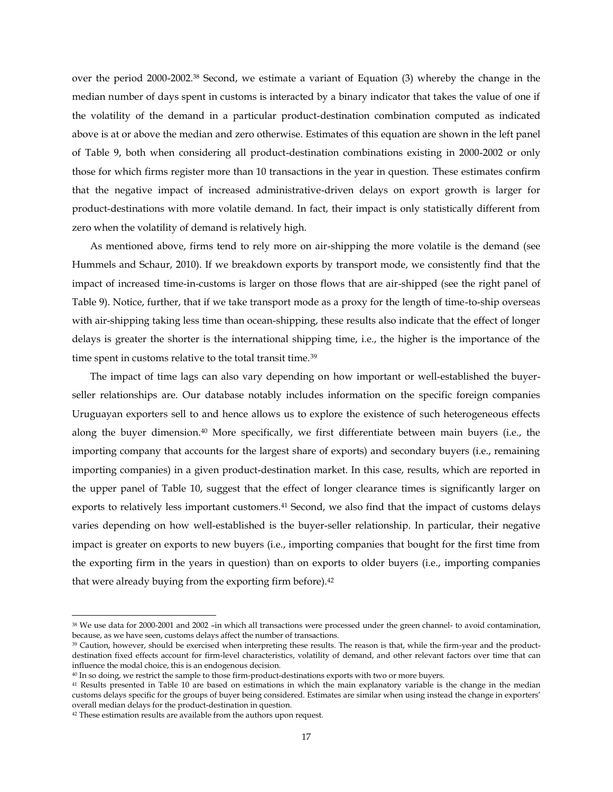over the period 2000-2002.<sup>38</sup> Second, we estimate a variant of Equation (3) whereby the change in the median number of days spent in customs is interacted by a binary indicator that takes the value of one if the volatility of the demand in a particular product-destination combination computed as indicated above is at or above the median and zero otherwise. Estimates of this equation are shown in the left panel of Table 9, both when considering all product-destination combinations existing in 2000-2002 or only those for which firms register more than 10 transactions in the year in question. These estimates confirm that the negative impact of increased administrative-driven delays on export growth is larger for product-destinations with more volatile demand. In fact, their impact is only statistically different from zero when the volatility of demand is relatively high.

As mentioned above, firms tend to rely more on air-shipping the more volatile is the demand (see Hummels and Schaur, 2010). If we breakdown exports by transport mode, we consistently find that the impact of increased time-in-customs is larger on those flows that are air-shipped (see the right panel of Table 9). Notice, further, that if we take transport mode as a proxy for the length of time-to-ship overseas with air-shipping taking less time than ocean-shipping, these results also indicate that the effect of longer delays is greater the shorter is the international shipping time, i.e., the higher is the importance of the time spent in customs relative to the total transit time.<sup>39</sup>

The impact of time lags can also vary depending on how important or well-established the buyerseller relationships are. Our database notably includes information on the specific foreign companies Uruguayan exporters sell to and hence allows us to explore the existence of such heterogeneous effects along the buyer dimension.<sup>40</sup> More specifically, we first differentiate between main buyers (i.e., the importing company that accounts for the largest share of exports) and secondary buyers (i.e., remaining importing companies) in a given product-destination market. In this case, results, which are reported in the upper panel of Table 10, suggest that the effect of longer clearance times is significantly larger on exports to relatively less important customers.<sup>41</sup> Second, we also find that the impact of customs delays varies depending on how well-established is the buyer-seller relationship. In particular, their negative impact is greater on exports to new buyers (i.e., importing companies that bought for the first time from the exporting firm in the years in question) than on exports to older buyers (i.e., importing companies that were already buying from the exporting firm before).<sup>42</sup>

l

<sup>38</sup> We use data for 2000-2001 and 2002 –in which all transactions were processed under the green channel- to avoid contamination, because, as we have seen, customs delays affect the number of transactions.

<sup>&</sup>lt;sup>39</sup> Caution, however, should be exercised when interpreting these results. The reason is that, while the firm-year and the productdestination fixed effects account for firm-level characteristics, volatility of demand, and other relevant factors over time that can influence the modal choice, this is an endogenous decision.

<sup>40</sup> In so doing, we restrict the sample to those firm-product-destinations exports with two or more buyers.

<sup>&</sup>lt;sup>41</sup> Results presented in Table 10 are based on estimations in which the main explanatory variable is the change in the median customs delays specific for the groups of buyer being considered. Estimates are similar when using instead the change in exporters' overall median delays for the product-destination in question.

<sup>&</sup>lt;sup>42</sup> These estimation results are available from the authors upon request.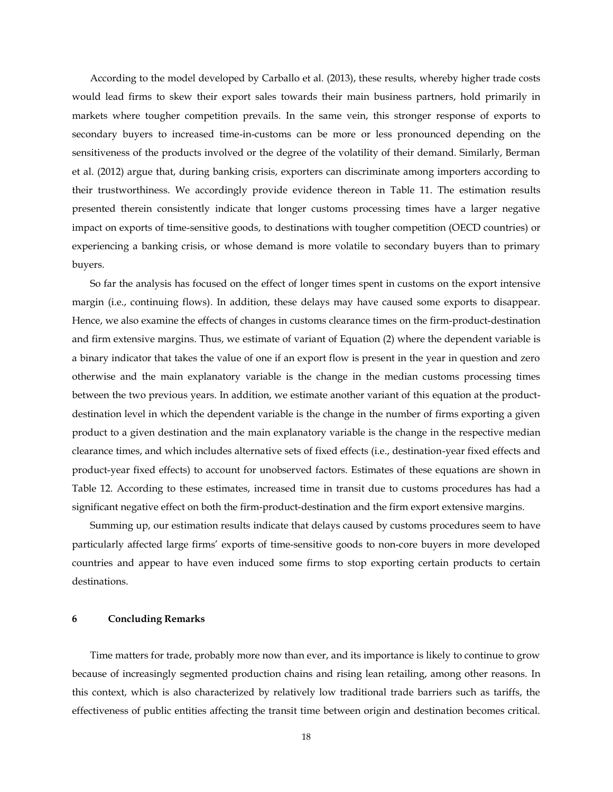According to the model developed by Carballo et al. (2013), these results, whereby higher trade costs would lead firms to skew their export sales towards their main business partners, hold primarily in markets where tougher competition prevails. In the same vein, this stronger response of exports to secondary buyers to increased time-in-customs can be more or less pronounced depending on the sensitiveness of the products involved or the degree of the volatility of their demand. Similarly, Berman et al. (2012) argue that, during banking crisis, exporters can discriminate among importers according to their trustworthiness. We accordingly provide evidence thereon in Table 11. The estimation results presented therein consistently indicate that longer customs processing times have a larger negative impact on exports of time-sensitive goods, to destinations with tougher competition (OECD countries) or experiencing a banking crisis, or whose demand is more volatile to secondary buyers than to primary buyers.

So far the analysis has focused on the effect of longer times spent in customs on the export intensive margin (i.e., continuing flows). In addition, these delays may have caused some exports to disappear. Hence, we also examine the effects of changes in customs clearance times on the firm-product-destination and firm extensive margins. Thus, we estimate of variant of Equation (2) where the dependent variable is a binary indicator that takes the value of one if an export flow is present in the year in question and zero otherwise and the main explanatory variable is the change in the median customs processing times between the two previous years. In addition, we estimate another variant of this equation at the productdestination level in which the dependent variable is the change in the number of firms exporting a given product to a given destination and the main explanatory variable is the change in the respective median clearance times, and which includes alternative sets of fixed effects (i.e., destination-year fixed effects and product-year fixed effects) to account for unobserved factors. Estimates of these equations are shown in Table 12. According to these estimates, increased time in transit due to customs procedures has had a significant negative effect on both the firm-product-destination and the firm export extensive margins.

Summing up, our estimation results indicate that delays caused by customs procedures seem to have particularly affected large firms' exports of time-sensitive goods to non-core buyers in more developed countries and appear to have even induced some firms to stop exporting certain products to certain destinations.

### **6 Concluding Remarks**

Time matters for trade, probably more now than ever, and its importance is likely to continue to grow because of increasingly segmented production chains and rising lean retailing, among other reasons. In this context, which is also characterized by relatively low traditional trade barriers such as tariffs, the effectiveness of public entities affecting the transit time between origin and destination becomes critical.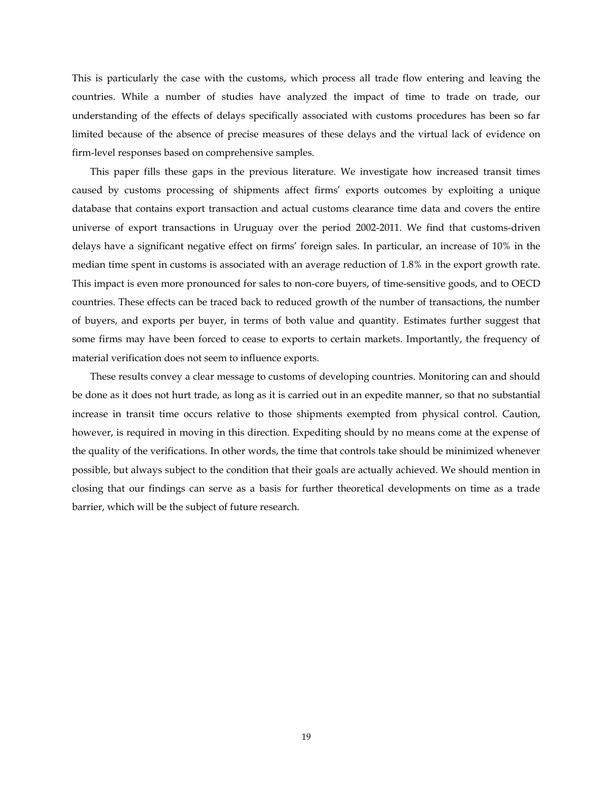This is particularly the case with the customs, which process all trade flow entering and leaving the countries. While a number of studies have analyzed the impact of time to trade on trade, our understanding of the effects of delays specifically associated with customs procedures has been so far limited because of the absence of precise measures of these delays and the virtual lack of evidence on firm-level responses based on comprehensive samples.

This paper fills these gaps in the previous literature. We investigate how increased transit times caused by customs processing of shipments affect firms' exports outcomes by exploiting a unique database that contains export transaction and actual customs clearance time data and covers the entire universe of export transactions in Uruguay over the period 2002-2011. We find that customs-driven delays have a significant negative effect on firms' foreign sales. In particular, an increase of 10% in the median time spent in customs is associated with an average reduction of 1.8% in the export growth rate. This impact is even more pronounced for sales to non-core buyers, of time-sensitive goods, and to OECD countries. These effects can be traced back to reduced growth of the number of transactions, the number of buyers, and exports per buyer, in terms of both value and quantity. Estimates further suggest that some firms may have been forced to cease to exports to certain markets. Importantly, the frequency of material verification does not seem to influence exports.

These results convey a clear message to customs of developing countries. Monitoring can and should be done as it does not hurt trade, as long as it is carried out in an expedite manner, so that no substantial increase in transit time occurs relative to those shipments exempted from physical control. Caution, however, is required in moving in this direction. Expediting should by no means come at the expense of the quality of the verifications. In other words, the time that controls take should be minimized whenever possible, but always subject to the condition that their goals are actually achieved. We should mention in closing that our findings can serve as a basis for further theoretical developments on time as a trade barrier, which will be the subject of future research.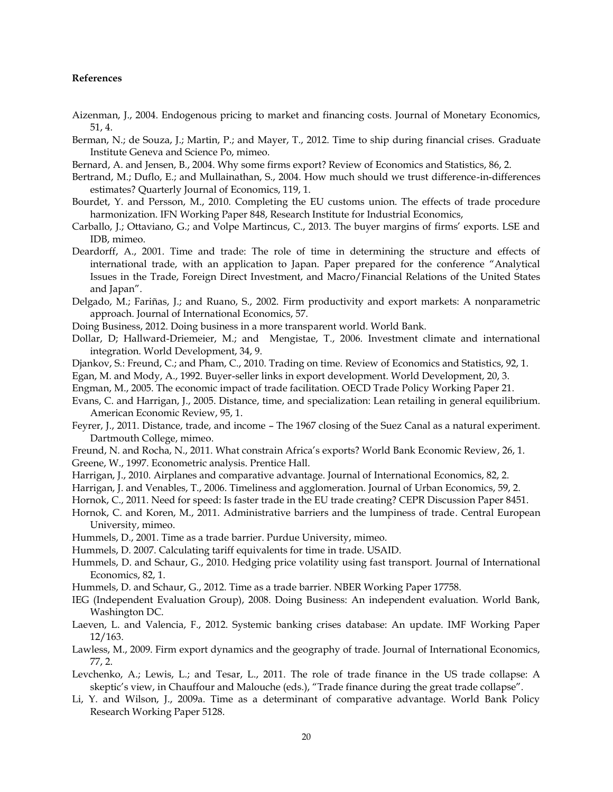# **References**

- Aizenman, J., 2004. Endogenous pricing to market and financing costs. Journal of Monetary Economics, 51, 4.
- Berman, N.; de Souza, J.; Martin, P.; and Mayer, T., 2012. Time to ship during financial crises. Graduate Institute Geneva and Science Po, mimeo.
- Bernard, A. and Jensen, B., 2004. Why some firms export? Review of Economics and Statistics, 86, 2.
- Bertrand, M.; Duflo, E.; and Mullainathan, S., 2004. How much should we trust difference-in-differences estimates? Quarterly Journal of Economics, 119, 1.
- Bourdet, Y. and Persson, M., 2010. Completing the EU customs union. The effects of trade procedure harmonization. IFN Working Paper 848, Research Institute for Industrial Economics,
- Carballo, J.; Ottaviano, G.; and Volpe Martincus, C., 2013. The buyer margins of firms' exports. LSE and IDB, mimeo.
- Deardorff, A., 2001. Time and trade: The role of time in determining the structure and effects of international trade, with an application to Japan. Paper prepared for the conference "Analytical Issues in the Trade, Foreign Direct Investment, and Macro/Financial Relations of the United States and Japan".
- Delgado, M.; Fariñas, J.; and Ruano, S., 2002. Firm productivity and export markets: A nonparametric approach. Journal of International Economics, 57.
- Doing Business, 2012. Doing business in a more transparent world. World Bank.
- Dollar, D; Hallward-Driemeier, M.; and Mengistae, T., 2006. Investment climate and international integration. World Development, 34, 9.
- Djankov, S.: Freund, C.; and Pham, C., 2010. Trading on time. Review of Economics and Statistics, 92, 1.
- Egan, M. and Mody, A., 1992. Buyer-seller links in export development. World Development, 20, 3.
- Engman, M., 2005. The economic impact of trade facilitation. OECD Trade Policy Working Paper 21.
- Evans, C. and Harrigan, J., 2005. Distance, time, and specialization: Lean retailing in general equilibrium. American Economic Review, 95, 1.
- Feyrer, J., 2011. Distance, trade, and income The 1967 closing of the Suez Canal as a natural experiment. Dartmouth College, mimeo.
- Freund, N. and Rocha, N., 2011. What constrain Africa's exports? World Bank Economic Review, 26, 1.
- Greene, W., 1997. Econometric analysis. Prentice Hall.
- Harrigan, J., 2010. Airplanes and comparative advantage. Journal of International Economics, 82, 2.
- Harrigan, J. and Venables, T., 2006. Timeliness and agglomeration. Journal of Urban Economics, 59, 2.
- Hornok, C., 2011. Need for speed: Is faster trade in the EU trade creating? CEPR Discussion Paper 8451.
- Hornok, C. and Koren, M., 2011. Administrative barriers and the lumpiness of trade. Central European University, mimeo.
- Hummels, D., 2001. Time as a trade barrier. Purdue University, mimeo.
- Hummels, D. 2007. Calculating tariff equivalents for time in trade. USAID.
- Hummels, D. and Schaur, G., 2010. Hedging price volatility using fast transport. Journal of International Economics, 82, 1.
- Hummels, D. and Schaur, G., 2012. Time as a trade barrier. NBER Working Paper 17758.
- IEG (Independent Evaluation Group), 2008. Doing Business: An independent evaluation. World Bank, Washington DC.
- Laeven, L. and Valencia, F., 2012. Systemic banking crises database: An update. IMF Working Paper 12/163.
- Lawless, M., 2009. Firm export dynamics and the geography of trade. Journal of International Economics, 77, 2.
- Levchenko, A.; Lewis, L.; and Tesar, L., 2011. The role of trade finance in the US trade collapse: A skeptic's view, in Chauffour and Malouche (eds.), "Trade finance during the great trade collapse".
- Li, Y. and Wilson, J., 2009a. Time as a determinant of comparative advantage. World Bank Policy Research Working Paper 5128.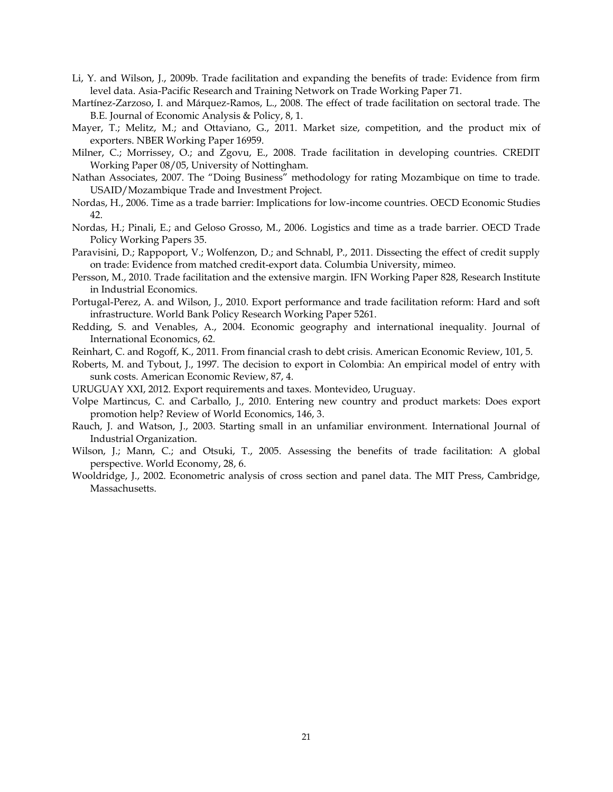- Li, Y. and Wilson, J., 2009b. Trade facilitation and expanding the benefits of trade: Evidence from firm level data. Asia-Pacific Research and Training Network on Trade Working Paper 71.
- Martínez-Zarzoso, I. and Márquez-Ramos, L., 2008. The effect of trade facilitation on sectoral trade. The B.E. Journal of Economic Analysis & Policy, 8, 1.
- Mayer, T.; Melitz, M.; and Ottaviano, G., 2011. Market size, competition, and the product mix of exporters. NBER Working Paper 16959.
- Milner, C.; Morrissey, O.; and Zgovu, E., 2008. Trade facilitation in developing countries. CREDIT Working Paper 08/05, University of Nottingham.
- Nathan Associates, 2007. The "Doing Business" methodology for rating Mozambique on time to trade. USAID/Mozambique Trade and Investment Project.
- Nordas, H., 2006. Time as a trade barrier: Implications for low-income countries. OECD Economic Studies 42.
- Nordas, H.; Pinali, E.; and Geloso Grosso, M., 2006. Logistics and time as a trade barrier. OECD Trade Policy Working Papers 35.
- Paravisini, D.; Rappoport, V.; Wolfenzon, D.; and Schnabl, P., 2011. Dissecting the effect of credit supply on trade: Evidence from matched credit-export data. Columbia University, mimeo.
- Persson, M., 2010. Trade facilitation and the extensive margin. IFN Working Paper 828, Research Institute in Industrial Economics.
- Portugal-Perez, A. and Wilson, J., 2010. Export performance and trade facilitation reform: Hard and soft infrastructure. World Bank Policy Research Working Paper 5261.
- Redding, S. and Venables, A., 2004. Economic geography and international inequality. Journal of International Economics, 62.
- Reinhart, C. and Rogoff, K., 2011. From financial crash to debt crisis. American Economic Review, 101, 5.
- Roberts, M. and Tybout, J., 1997. The decision to export in Colombia: An empirical model of entry with sunk costs. American Economic Review, 87, 4.
- URUGUAY XXI, 2012. Export requirements and taxes. Montevideo, Uruguay.
- Volpe Martincus, C. and Carballo, J., 2010. Entering new country and product markets: Does export promotion help? Review of World Economics, 146, 3.
- Rauch, J. and Watson, J., 2003. Starting small in an unfamiliar environment. International Journal of Industrial Organization.
- Wilson, J.; Mann, C.; and Otsuki, T., 2005. Assessing the benefits of trade facilitation: A global perspective. World Economy, 28, 6.
- Wooldridge, J., 2002. Econometric analysis of cross section and panel data. The MIT Press, Cambridge, Massachusetts.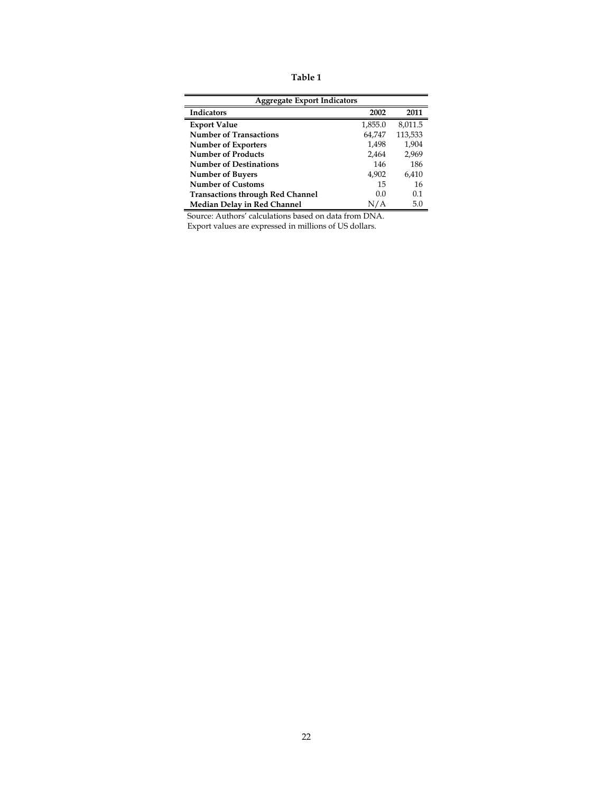**Table 1**

| <b>Aggregate Export Indicators</b>      |         |                |  |  |  |  |
|-----------------------------------------|---------|----------------|--|--|--|--|
| <b>Indicators</b>                       | 2002    | 2011           |  |  |  |  |
| <b>Export Value</b>                     | 1,855.0 | 8,011.5        |  |  |  |  |
| <b>Number of Transactions</b>           | 64,747  | 113,533        |  |  |  |  |
| <b>Number of Exporters</b>              | 1.498   | 1.904          |  |  |  |  |
| <b>Number of Products</b>               | 2.464   | 2.969          |  |  |  |  |
| <b>Number of Destinations</b>           | 146     | 186            |  |  |  |  |
| <b>Number of Buyers</b>                 | 4.902   | 6,410          |  |  |  |  |
| <b>Number of Customs</b>                | 15      | 16             |  |  |  |  |
| <b>Transactions through Red Channel</b> | 00      | 0 <sub>1</sub> |  |  |  |  |
| Median Delay in Red Channel             | N/A     | 5.0            |  |  |  |  |

Export values are expressed in millions of US dollars.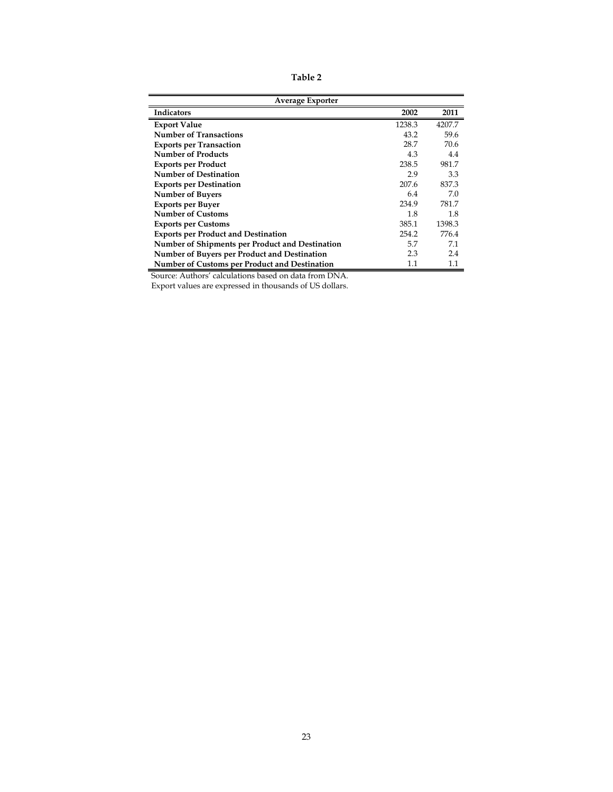**Table 2**

| <b>Average Exporter</b>                         |        |         |  |  |  |  |
|-------------------------------------------------|--------|---------|--|--|--|--|
| Indicators                                      | 2002   | 2011    |  |  |  |  |
| <b>Export Value</b>                             | 1238.3 | 4207.7  |  |  |  |  |
| <b>Number of Transactions</b>                   | 43.2   | 59.6    |  |  |  |  |
| <b>Exports per Transaction</b>                  | 28.7   | 70.6    |  |  |  |  |
| <b>Number of Products</b>                       | 4.3    | 4.4     |  |  |  |  |
| <b>Exports per Product</b>                      | 238.5  | 981.7   |  |  |  |  |
| <b>Number of Destination</b>                    | 2.9    | 3.3     |  |  |  |  |
| <b>Exports per Destination</b>                  | 207.6  | 837.3   |  |  |  |  |
| <b>Number of Buyers</b>                         | 6.4    | 7.0     |  |  |  |  |
| <b>Exports per Buyer</b>                        | 234.9  | 781.7   |  |  |  |  |
| <b>Number of Customs</b>                        | 1.8    | 1.8     |  |  |  |  |
| <b>Exports per Customs</b>                      | 385.1  | 1398.3  |  |  |  |  |
| <b>Exports per Product and Destination</b>      | 254.2  | 776.4   |  |  |  |  |
| Number of Shipments per Product and Destination | 5.7    | 7.1     |  |  |  |  |
| Number of Buyers per Product and Destination    | 2.3    | 2.4     |  |  |  |  |
| Number of Customs per Product and Destination   | 1.1    | $1.1\,$ |  |  |  |  |

Export values are expressed in thousands of US dollars.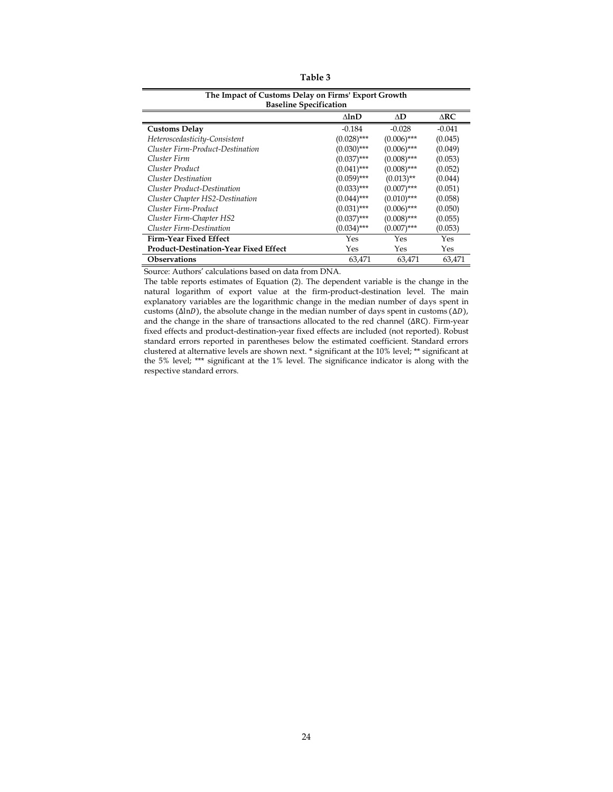| l able l |  |
|----------|--|
|----------|--|

| The Impact of Customs Delay on Firms' Export Growth<br><b>Baseline Specification</b> |               |               |          |  |  |  |  |  |
|--------------------------------------------------------------------------------------|---------------|---------------|----------|--|--|--|--|--|
| ΔD<br>$\triangle$ RC<br>$\Delta \ln D$                                               |               |               |          |  |  |  |  |  |
| <b>Customs Delay</b>                                                                 | $-0.184$      | $-0.028$      | $-0.041$ |  |  |  |  |  |
| Heteroscedasticity-Consistent                                                        | $(0.028)$ *** | $(0.006)$ *** | (0.045)  |  |  |  |  |  |
| Cluster Firm-Product-Destination                                                     | $(0.030)$ *** | $(0.006)$ *** | (0.049)  |  |  |  |  |  |
| Cluster Firm                                                                         | $(0.037)$ *** | $(0.008)$ *** | (0.053)  |  |  |  |  |  |
| Cluster Product                                                                      | $(0.041)$ *** | $(0.008)$ *** | (0.052)  |  |  |  |  |  |
| <b>Cluster Destination</b>                                                           | $(0.059)$ *** | $(0.013)$ **  | (0.044)  |  |  |  |  |  |
| Cluster Product-Destination                                                          | $(0.033)$ *** | $(0.007)$ *** | (0.051)  |  |  |  |  |  |
| Cluster Chapter HS2-Destination                                                      | $(0.044)$ *** | $(0.010)$ *** | (0.058)  |  |  |  |  |  |
| Cluster Firm-Product                                                                 | $(0.031)$ *** | $(0.006)$ *** | (0.050)  |  |  |  |  |  |
| Cluster Firm-Chapter HS2                                                             | $(0.037)$ *** | $(0.008)$ *** | (0.055)  |  |  |  |  |  |
| Cluster Firm-Destination                                                             | $(0.034)$ *** | $(0.007)$ *** | (0.053)  |  |  |  |  |  |
| <b>Firm-Year Fixed Effect</b>                                                        | Yes           | Yes           | Yes      |  |  |  |  |  |
| Product-Destination-Year Fixed Effect                                                | Yes           | Yes           | Yes      |  |  |  |  |  |
| <b>Observations</b>                                                                  | 63,471        | 63,471        | 63.471   |  |  |  |  |  |

The table reports estimates of Equation (2). The dependent variable is the change in the natural logarithm of export value at the firm-product-destination level. The main explanatory variables are the logarithmic change in the median number of days spent in customs ( $\Delta \ln D$ ), the absolute change in the median number of days spent in customs ( $\Delta D$ ), and the change in the share of transactions allocated to the red channel ( $\Delta RC$ ). Firm-year fixed effects and product-destination-year fixed effects are included (not reported). Robust standard errors reported in parentheses below the estimated coefficient. Standard errors clustered at alternative levels are shown next. \* significant at the 10% level; \*\* significant at the 5% level; \*\*\* significant at the 1% level. The significance indicator is along with the respective standard errors.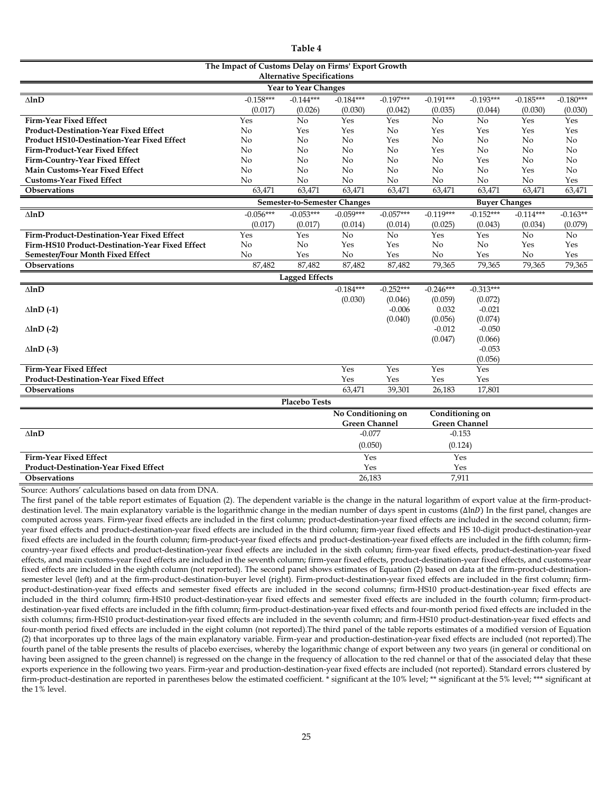| anıe<br>п. |  |
|------------|--|
|------------|--|

| The Impact of Customs Delay on Firms' Export Growth<br><b>Alternative Specifications</b> |                |                              |                      |             |                      |                      |             |             |
|------------------------------------------------------------------------------------------|----------------|------------------------------|----------------------|-------------|----------------------|----------------------|-------------|-------------|
|                                                                                          |                | Year to Year Changes         |                      |             |                      |                      |             |             |
| $\Delta$ ln $D$                                                                          | $-0.158***$    | $-0.144***$                  | $-0.184***$          | $-0.197***$ | $-0.191***$          | $-0.193***$          | $-0.185***$ | $-0.180***$ |
|                                                                                          | (0.017)        | (0.026)                      | (0.030)              | (0.042)     | (0.035)              | (0.044)              | (0.030)     | (0.030)     |
| Firm-Year Fixed Effect                                                                   | Yes            | No                           | Yes                  | Yes         | No                   | No                   | Yes         | Yes         |
| <b>Product-Destination-Year Fixed Effect</b>                                             | No             | Yes                          | Yes                  | No          | Yes                  | Yes                  | Yes         | Yes         |
| <b>Product HS10-Destination-Year Fixed Effect</b>                                        | No             | No                           | No                   | Yes         | No                   | No                   | No          | No          |
| Firm-Product-Year Fixed Effect                                                           | No             | No                           | N <sub>0</sub>       | No          | Yes                  | No                   | No          | No          |
| Firm-Country-Year Fixed Effect                                                           | N <sub>o</sub> | No                           | No                   | No          | No                   | Yes                  | No          | No          |
| Main Customs-Year Fixed Effect                                                           | No             | No                           | No                   | No          | N <sub>o</sub>       | No                   | Yes         | No          |
| <b>Customs-Year Fixed Effect</b>                                                         | No             | No                           | No                   | No          | No                   | No                   | No          | Yes         |
| <b>Observations</b>                                                                      | 63,471         | 63,471                       | 63,471               | 63,471      | 63,471               | 63,471               | 63,471      | 63,471      |
|                                                                                          |                | Semester-to-Semester Changes |                      |             |                      | <b>Buyer Changes</b> |             |             |
| $\Delta lnD$                                                                             | $-0.056***$    | $-0.053***$                  | $-0.059***$          | $-0.057***$ | $-0.119***$          | $-0.152***$          | $-0.114***$ | $-0.163**$  |
|                                                                                          | (0.017)        | (0.017)                      | (0.014)              | (0.014)     | (0.025)              | (0.043)              | (0.034)     | (0.079)     |
| Firm-Product-Destination-Year Fixed Effect                                               | Yes            | Yes                          | No                   | No          | Yes                  | Yes                  | No          | No          |
| Firm-HS10 Product-Destination-Year Fixed Effect                                          | No             | No                           | Yes                  | Yes         | No                   | No                   | Yes         | Yes         |
| Semester/Four Month Fixed Effect                                                         | No             | Yes                          | No                   | Yes         | No                   | Yes                  | No          | Yes         |
| <b>Observations</b>                                                                      | 87,482         | 87,482                       | 87,482               | 87,482      | 79,365               | 79,365               | 79,365      | 79,365      |
|                                                                                          |                | <b>Lagged Effects</b>        |                      |             |                      |                      |             |             |
| $\Delta lnD$                                                                             |                |                              | $-0.184***$          | $-0.252***$ | $-0.246***$          | $-0.313***$          |             |             |
|                                                                                          |                |                              | (0.030)              | (0.046)     | (0.059)              | (0.072)              |             |             |
| $\Delta$ lnD $(-1)$                                                                      |                |                              |                      | $-0.006$    | 0.032                | $-0.021$             |             |             |
|                                                                                          |                |                              |                      | (0.040)     | (0.056)              | (0.074)              |             |             |
| $\Delta$ lnD $(-2)$                                                                      |                |                              |                      |             | $-0.012$             | $-0.050$             |             |             |
|                                                                                          |                |                              |                      |             | (0.047)              | (0.066)              |             |             |
| $\Delta$ lnD $(-3)$                                                                      |                |                              |                      |             |                      | $-0.053$             |             |             |
|                                                                                          |                |                              |                      |             |                      | (0.056)              |             |             |
| <b>Firm-Year Fixed Effect</b>                                                            |                |                              | Yes                  | Yes         | Yes                  | Yes                  |             |             |
| <b>Product-Destination-Year Fixed Effect</b>                                             |                |                              | Yes                  | Yes         | Yes                  | Yes                  |             |             |
| <b>Observations</b>                                                                      |                |                              | 63,471               | 39,301      | 26,183               | 17,801               |             |             |
|                                                                                          |                | <b>Placebo Tests</b>         |                      |             |                      |                      |             |             |
|                                                                                          |                |                              | No Conditioning on   |             | Conditioning on      |                      |             |             |
|                                                                                          |                |                              | <b>Green Channel</b> |             | <b>Green Channel</b> |                      |             |             |
| $-0.077$<br>$-0.153$<br>$\Delta lnD$                                                     |                |                              |                      |             |                      |                      |             |             |
|                                                                                          |                |                              | (0.050)              |             | (0.124)              |                      |             |             |
| <b>Firm-Year Fixed Effect</b>                                                            |                |                              | Yes                  |             | Yes                  |                      |             |             |
| <b>Product-Destination-Year Fixed Effect</b>                                             |                |                              | Yes                  |             | Yes                  |                      |             |             |
| <b>Observations</b>                                                                      |                |                              | 26,183               |             | 7.911                |                      |             |             |

The first panel of the table report estimates of Equation (2). The dependent variable is the change in the natural logarithm of export value at the firm-productdestination level. The main explanatory variable is the logarithmic change in the median number of days spent in customs  $(\Delta lnD)$  In the first panel, changes are computed across years. Firm-year fixed effects are included in the first column; product-destination-year fixed effects are included in the second column; firmyear fixed effects and product-destination-year fixed effects are included in the third column; firm-year fixed effects and HS 10-digit product-destination-year fixed effects are included in the fourth column; firm-product-year fixed effects and product-destination-year fixed effects are included in the fifth column; firmcountry-year fixed effects and product-destination-year fixed effects are included in the sixth column; firm-year fixed effects, product-destination-year fixed effects, and main customs-year fixed effects are included in the seventh column; firm-year fixed effects, product-destination-year fixed effects, and customs-year fixed effects are included in the eighth column (not reported). The second panel shows estimates of Equation (2) based on data at the firm-product-destinationsemester level (left) and at the firm-product-destination-buyer level (right). Firm-product-destination-year fixed effects are included in the first column; firmproduct-destination-year fixed effects and semester fixed effects are included in the second columns; firm-HS10 product-destination-year fixed effects are included in the third column; firm-HS10 product-destination-year fixed effects and semester fixed effects are included in the fourth column; firm-productdestination-year fixed effects are included in the fifth column; firm-product-destination-year fixed effects and four-month period fixed effects are included in the sixth columns; firm-HS10 product-destination-year fixed effects are included in the seventh column; and firm-HS10 product-destination-year fixed effects and four-month period fixed effects are included in the eight column (not reported).The third panel of the table reports estimates of a modified version of Equation (2) that incorporates up to three lags of the main explanatory variable. Firm-year and production-destination-year fixed effects are included (not reported).The fourth panel of the table presents the results of placebo exercises, whereby the logarithmic change of export between any two years (in general or conditional on having been assigned to the green channel) is regressed on the change in the frequency of allocation to the red channel or that of the associated delay that these exports experience in the following two years. Firm-year and production-destination-year fixed effects are included (not reported). Standard errors clustered by firm-product-destination are reported in parentheses below the estimated coefficient. \* significant at the 10% level; \*\* significant at the 5% level; \*\*\* significant at the 1% level.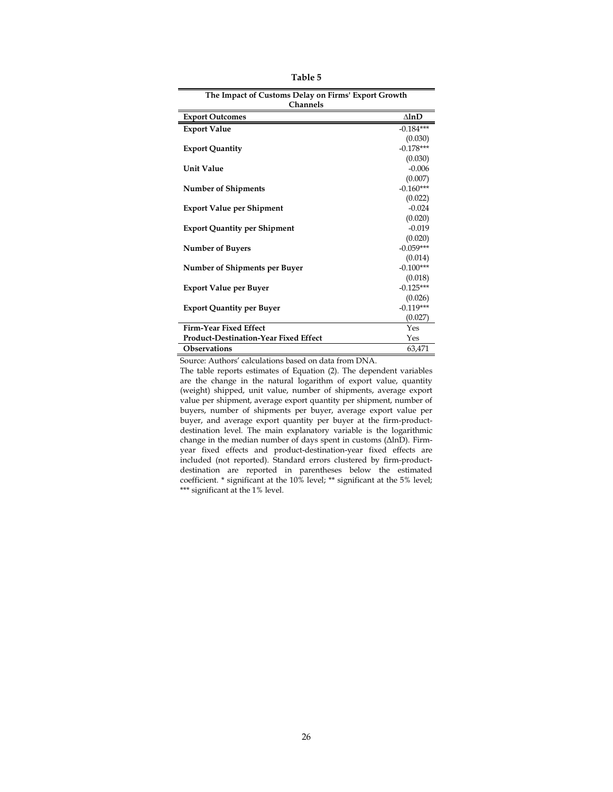| The Impact of Customs Delay on Firms' Export Growth |                 |  |  |  |  |
|-----------------------------------------------------|-----------------|--|--|--|--|
| <b>Channels</b>                                     |                 |  |  |  |  |
| <b>Export Outcomes</b>                              | $\Delta$ ln $D$ |  |  |  |  |
| <b>Export Value</b>                                 | $-0.184***$     |  |  |  |  |
|                                                     | (0.030)         |  |  |  |  |
| <b>Export Quantity</b>                              | $-0.178***$     |  |  |  |  |
|                                                     | (0.030)         |  |  |  |  |
| <b>Unit Value</b>                                   | $-0.006$        |  |  |  |  |
|                                                     | (0.007)         |  |  |  |  |
| <b>Number of Shipments</b>                          | $-0.160***$     |  |  |  |  |
|                                                     | (0.022)         |  |  |  |  |
| <b>Export Value per Shipment</b>                    | $-0.024$        |  |  |  |  |
|                                                     | (0.020)         |  |  |  |  |
| <b>Export Quantity per Shipment</b>                 | $-0.019$        |  |  |  |  |
|                                                     | (0.020)         |  |  |  |  |
| <b>Number of Buyers</b>                             | $-0.059***$     |  |  |  |  |
|                                                     | (0.014)         |  |  |  |  |
| Number of Shipments per Buyer                       | $-0.100***$     |  |  |  |  |
|                                                     | (0.018)         |  |  |  |  |
| <b>Export Value per Buyer</b>                       | $-0.125***$     |  |  |  |  |
|                                                     | (0.026)         |  |  |  |  |
| <b>Export Quantity per Buyer</b>                    | $-0.119***$     |  |  |  |  |
|                                                     | (0.027)         |  |  |  |  |
| <b>Firm-Year Fixed Effect</b>                       | Yes             |  |  |  |  |
| <b>Product-Destination-Year Fixed Effect</b>        | Yes             |  |  |  |  |
| <b>Observations</b>                                 | 63,471          |  |  |  |  |

**Table 5**

The table reports estimates of Equation (2). The dependent variables are the change in the natural logarithm of export value, quantity (weight) shipped, unit value, number of shipments, average export value per shipment, average export quantity per shipment, number of buyers, number of shipments per buyer, average export value per buyer, and average export quantity per buyer at the firm-productdestination level. The main explanatory variable is the logarithmic change in the median number of days spent in customs ( $\Delta$ lnD). Firmyear fixed effects and product-destination-year fixed effects are included (not reported). Standard errors clustered by firm-productdestination are reported in parentheses below the estimated coefficient. \* significant at the 10% level; \*\* significant at the 5% level; \*\*\* significant at the 1% level.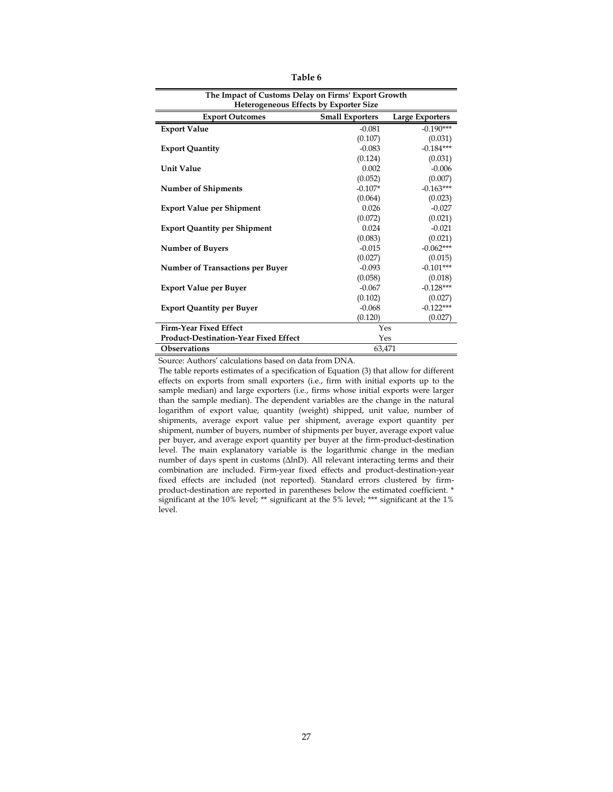| able |
|------|
|------|

| The Impact of Customs Delay on Firms' Export Growth |                        |                        |  |  |  |  |  |
|-----------------------------------------------------|------------------------|------------------------|--|--|--|--|--|
| <b>Heterogeneous Effects by Exporter Size</b>       |                        |                        |  |  |  |  |  |
| <b>Export Outcomes</b>                              | <b>Small Exporters</b> | <b>Large Exporters</b> |  |  |  |  |  |
| <b>Export Value</b>                                 | $-0.081$               | $-0.190***$            |  |  |  |  |  |
|                                                     | (0.107)                | (0.031)                |  |  |  |  |  |
| <b>Export Quantity</b>                              | $-0.083$               | $-0.184***$            |  |  |  |  |  |
|                                                     | (0.124)                | (0.031)                |  |  |  |  |  |
| <b>Unit Value</b>                                   | 0.002                  | $-0.006$               |  |  |  |  |  |
|                                                     | (0.052)                | (0.007)                |  |  |  |  |  |
| <b>Number of Shipments</b>                          | $-0.107*$              | $-0.163***$            |  |  |  |  |  |
|                                                     | (0.064)                | (0.023)                |  |  |  |  |  |
| <b>Export Value per Shipment</b>                    | 0.026                  | $-0.027$               |  |  |  |  |  |
|                                                     | (0.072)                | (0.021)                |  |  |  |  |  |
| <b>Export Quantity per Shipment</b>                 | 0.024                  | $-0.021$               |  |  |  |  |  |
|                                                     | (0.083)                | (0.021)                |  |  |  |  |  |
| <b>Number of Buyers</b>                             | $-0.015$               | $-0.062***$            |  |  |  |  |  |
|                                                     | (0.027)                | (0.015)                |  |  |  |  |  |
| <b>Number of Transactions per Buyer</b>             | $-0.093$               | $-0.101***$            |  |  |  |  |  |
|                                                     | (0.058)                | (0.018)                |  |  |  |  |  |
| <b>Export Value per Buyer</b>                       | $-0.067$               | $-0.128***$            |  |  |  |  |  |
|                                                     | (0.102)                | (0.027)                |  |  |  |  |  |
| <b>Export Quantity per Buyer</b>                    | $-0.068$               | $-0.122***$            |  |  |  |  |  |
|                                                     | (0.120)                | (0.027)                |  |  |  |  |  |
| <b>Firm-Year Fixed Effect</b>                       | Yes                    |                        |  |  |  |  |  |
| <b>Product-Destination-Year Fixed Effect</b>        | Yes                    |                        |  |  |  |  |  |
| <b>Observations</b>                                 | 63,471                 |                        |  |  |  |  |  |

The table reports estimates of a specification of Equation (3) that allow for different effects on exports from small exporters (i.e., firm with initial exports up to the sample median) and large exporters (i.e., firms whose initial exports were larger than the sample median). The dependent variables are the change in the natural logarithm of export value, quantity (weight) shipped, unit value, number of shipments, average export value per shipment, average export quantity per shipment, number of buyers, number of shipments per buyer, average export value per buyer, and average export quantity per buyer at the firm-product-destination level. The main explanatory variable is the logarithmic change in the median number of days spent in customs (ΔlnD). All relevant interacting terms and their combination are included. Firm-year fixed effects and product-destination-year fixed effects are included (not reported). Standard errors clustered by firmproduct-destination are reported in parentheses below the estimated coefficient. \* significant at the 10% level; \*\* significant at the 5% level; \*\*\* significant at the 1% level.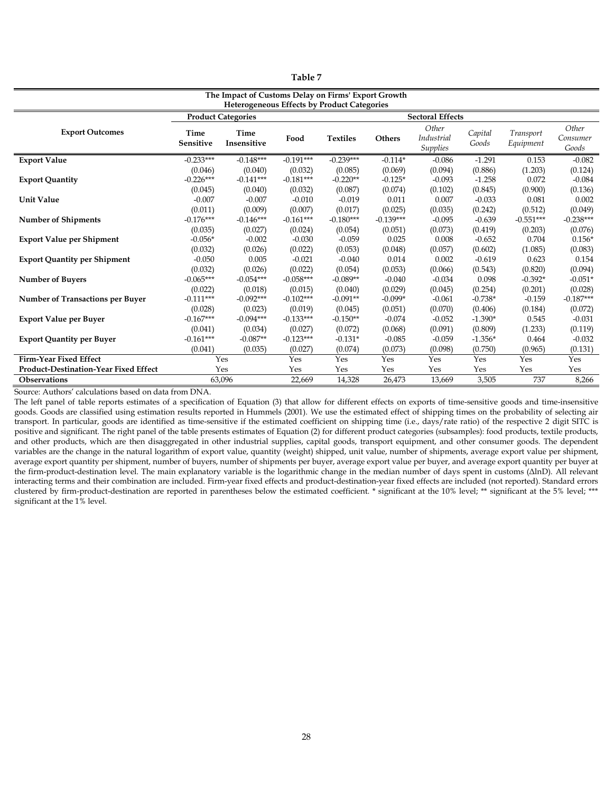| anı |
|-----|
|-----|

| The Impact of Customs Delay on Firms' Export Growth<br><b>Heterogeneous Effects by Product Categories</b> |                                   |                                   |                                |                                  |                                 |                                               |                                |                               |                             |
|-----------------------------------------------------------------------------------------------------------|-----------------------------------|-----------------------------------|--------------------------------|----------------------------------|---------------------------------|-----------------------------------------------|--------------------------------|-------------------------------|-----------------------------|
| <b>Sectoral Effects</b><br><b>Product Categories</b>                                                      |                                   |                                   |                                |                                  |                                 |                                               |                                |                               |                             |
| <b>Export Outcomes</b>                                                                                    | Time<br>Sensitive                 | Time<br>Insensitive               | Food                           | <b>Textiles</b>                  | <b>Others</b>                   | Other<br><b>Industrial</b><br><b>Supplies</b> | Capital<br>Goods               | <b>Transport</b><br>Equipment | Other<br>Consumer<br>Goods  |
| <b>Export Value</b>                                                                                       | $-0.233***$                       | $-0.148***$                       | $-0.191***$                    | $-0.239***$                      | $-0.114*$                       | $-0.086$                                      | $-1.291$                       | 0.153                         | $-0.082$                    |
| <b>Export Quantity</b>                                                                                    | (0.046)<br>$-0.226***$<br>(0.045) | (0.040)<br>$-0.141***$<br>(0.040) | (0.032)<br>$-0.181***$         | (0.085)<br>$-0.220**$<br>(0.087) | (0.069)<br>$-0.125*$<br>(0.074) | (0.094)<br>$-0.093$                           | (0.886)<br>$-1.258$            | (1.203)<br>0.072<br>(0.900)   | (0.124)<br>$-0.084$         |
| <b>Unit Value</b>                                                                                         | $-0.007$<br>(0.011)               | $-0.007$<br>(0.009)               | (0.032)<br>$-0.010$<br>(0.007) | $-0.019$<br>(0.017)              | 0.011<br>(0.025)                | (0.102)<br>0.007<br>(0.035)                   | (0.845)<br>$-0.033$<br>(0.242) | 0.081<br>(0.512)              | (0.136)<br>0.002<br>(0.049) |
| <b>Number of Shipments</b>                                                                                | $-0.176***$<br>(0.035)            | $-0.146***$<br>(0.027)            | $-0.161***$<br>(0.024)         | $-0.180***$<br>(0.054)           | $-0.139***$<br>(0.051)          | $-0.095$<br>(0.073)                           | $-0.639$<br>(0.419)            | $-0.551***$<br>(0.203)        | $-0.238***$<br>(0.076)      |
| <b>Export Value per Shipment</b>                                                                          | $-0.056*$<br>(0.032)              | $-0.002$<br>(0.026)               | $-0.030$<br>(0.022)            | $-0.059$<br>(0.053)              | 0.025<br>(0.048)                | 0.008<br>(0.057)                              | $-0.652$<br>(0.602)            | 0.704<br>(1.085)              | $0.156*$<br>(0.083)         |
| <b>Export Quantity per Shipment</b>                                                                       | $-0.050$<br>(0.032)               | 0.005<br>(0.026)                  | $-0.021$<br>(0.022)            | $-0.040$<br>(0.054)              | 0.014<br>(0.053)                | 0.002<br>(0.066)                              | $-0.619$<br>(0.543)            | 0.623<br>(0.820)              | 0.154<br>(0.094)            |
| <b>Number of Buyers</b>                                                                                   | $-0.065***$<br>(0.022)            | $-0.054***$<br>(0.018)            | $-0.058***$<br>(0.015)         | $-0.089**$<br>(0.040)            | $-0.040$<br>(0.029)             | $-0.034$<br>(0.045)                           | 0.098<br>(0.254)               | $-0.392*$<br>(0.201)          | $-0.051*$<br>(0.028)        |
| <b>Number of Transactions per Buyer</b>                                                                   | $-0.111***$<br>(0.028)            | $-0.092***$<br>(0.023)            | $-0.102***$<br>(0.019)         | $-0.091**$<br>(0.045)            | $-0.099*$<br>(0.051)            | $-0.061$<br>(0.070)                           | $-0.738*$<br>(0.406)           | $-0.159$<br>(0.184)           | $-0.187***$<br>(0.072)      |
| <b>Export Value per Buyer</b>                                                                             | $-0.167***$                       | $-0.094***$                       | $-0.133***$                    | $-0.150**$                       | $-0.074$                        | $-0.052$                                      | $-1.390*$                      | 0.545                         | $-0.031$                    |
| <b>Export Quantity per Buyer</b>                                                                          | (0.041)<br>$-0.161***$            | (0.034)<br>$-0.087**$             | (0.027)<br>$-0.123***$         | (0.072)<br>$-0.131*$             | (0.068)<br>$-0.085$             | (0.091)<br>$-0.059$                           | (0.809)<br>$-1.356*$           | (1.233)<br>0.464              | (0.119)<br>$-0.032$         |
|                                                                                                           | (0.041)                           | (0.035)                           | (0.027)                        | (0.074)                          | (0.073)                         | (0.098)                                       | (0.750)                        | (0.965)                       | (0.131)                     |
| <b>Firm-Year Fixed Effect</b>                                                                             |                                   | Yes                               | Yes                            | Yes                              | Yes                             | Yes                                           | Yes                            | Yes                           | Yes                         |
| <b>Product-Destination-Year Fixed Effect</b>                                                              |                                   | Yes                               | Yes                            | Yes                              | Yes                             | Yes                                           | Yes                            | Yes                           | Yes                         |
| <b>Observations</b>                                                                                       |                                   | 63,096                            | 22,669                         | 14,328                           | 26,473                          | 13,669                                        | 3,505                          | 737                           | 8,266                       |

The left panel of table reports estimates of a specification of Equation (3) that allow for different effects on exports of time-sensitive goods and time-insensitive goods. Goods are classified using estimation results reported in Hummels (2001). We use the estimated effect of shipping times on the probability of selecting air transport. In particular, goods are identified as time-sensitive if the estimated coefficient on shipping time (i.e., days/rate ratio) of the respective 2 digit SITC is positive and significant. The right panel of the table presents estimates of Equation (2) for different product categories (subsamples): food products, textile products, and other products, which are then disaggregated in other industrial supplies, capital goods, transport equipment, and other consumer goods. The dependent variables are the change in the natural logarithm of export value, quantity (weight) shipped, unit value, number of shipments, average export value per shipment, average export quantity per shipment, number of buyers, number of shipments per buyer, average export value per buyer, and average export quantity per buyer at the firm-product-destination level. The main explanatory variable is the logarithmic change in the median number of days spent in customs ( $\Delta$ lnD). All relevant interacting terms and their combination are included. Firm-year fixed effects and product-destination-year fixed effects are included (not reported). Standard errors clustered by firm-product-destination are reported in parentheses below the estimated coefficient. \* significant at the 10% level; \*\* significant at the 5% level; \*\*\* significant at the 1% level.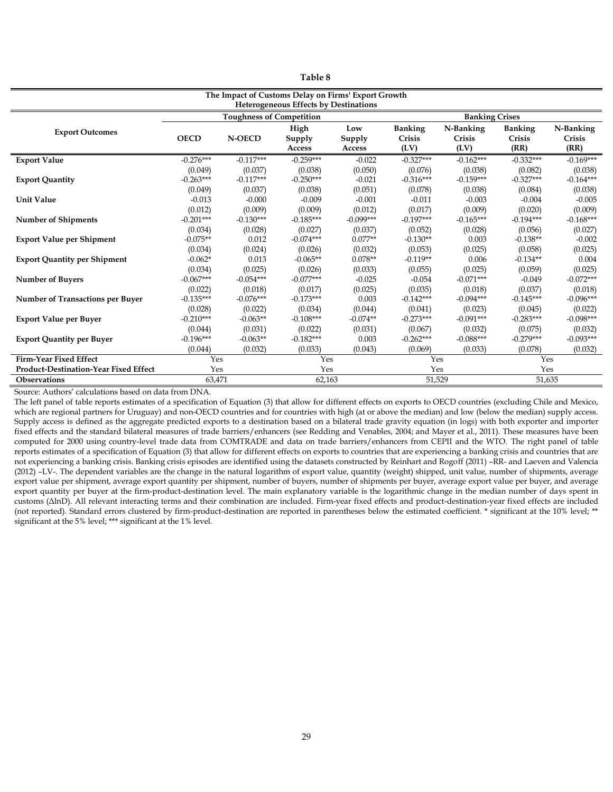| able |  |
|------|--|
|------|--|

| The Impact of Customs Delay on Firms' Export Growth<br><b>Heterogeneous Effects by Destinations</b> |                                   |                                   |                                   |                                 |                                   |                                   |                                   |                                   |
|-----------------------------------------------------------------------------------------------------|-----------------------------------|-----------------------------------|-----------------------------------|---------------------------------|-----------------------------------|-----------------------------------|-----------------------------------|-----------------------------------|
|                                                                                                     | <b>Toughness of Competition</b>   |                                   |                                   |                                 | <b>Banking Crises</b>             |                                   |                                   |                                   |
| <b>Export Outcomes</b>                                                                              | <b>OECD</b>                       | <b>N-OECD</b>                     | High<br>Supply<br>Access          | Low<br>Supply<br>Access         | <b>Banking</b><br>Crisis<br>(LV)  | N-Banking<br>Crisis<br>(LV)       | <b>Banking</b><br>Crisis<br>(RR)  | N-Banking<br>Crisis<br>(RR)       |
| <b>Export Value</b>                                                                                 | $-0.276***$                       | $-0.117***$                       | $-0.259***$                       | $-0.022$                        | $-0.327***$                       | $-0.162***$                       | $-0.332***$                       | $-0.169***$                       |
| <b>Export Quantity</b>                                                                              | (0.049)<br>$-0.263***$<br>(0.049) | (0.037)<br>$-0.117***$<br>(0.037) | (0.038)<br>$-0.250***$<br>(0.038) | (0.050)<br>$-0.021$<br>(0.051)  | (0.076)<br>$-0.316***$<br>(0.078) | (0.038)<br>$-0.159***$<br>(0.038) | (0.082)<br>$-0.327***$<br>(0.084) | (0.038)<br>$-0.164***$<br>(0.038) |
| <b>Unit Value</b>                                                                                   | $-0.013$<br>(0.012)               | $-0.000$<br>(0.009)               | $-0.009$<br>(0.009)               | $-0.001$<br>(0.012)             | $-0.011$<br>(0.017)               | $-0.003$<br>(0.009)               | $-0.004$<br>(0.020)               | $-0.005$<br>(0.009)               |
| <b>Number of Shipments</b>                                                                          | $-0.201***$                       | $-0.130***$                       | $-0.185***$                       | $-0.099***$                     | $-0.197***$                       | $-0.165***$                       | $-0.194***$                       | $-0.168***$                       |
|                                                                                                     | (0.034)                           | (0.028)                           | (0.027)                           | (0.037)                         | (0.052)                           | (0.028)                           | (0.056)                           | (0.027)                           |
| <b>Export Value per Shipment</b>                                                                    | $-0.075**$                        | 0.012                             | $-0.074***$                       | $0.077**$                       | $-0.130**$                        | 0.003                             | $-0.138**$                        | $-0.002$                          |
| <b>Export Quantity per Shipment</b>                                                                 | (0.034)<br>$-0.062*$<br>(0.034)   | (0.024)<br>0.013<br>(0.025)       | (0.026)<br>$-0.065**$<br>(0.026)  | (0.032)<br>$0.078**$<br>(0.033) | (0.053)<br>$-0.119**$<br>(0.055)  | (0.025)<br>0.006<br>(0.025)       | (0.058)<br>$-0.134**$<br>(0.059)  | (0.025)<br>0.004<br>(0.025)       |
| <b>Number of Buyers</b>                                                                             | $-0.067***$                       | $-0.054***$                       | $-0.077***$                       | $-0.025$                        | $-0.054$                          | $-0.071***$                       | $-0.049$                          | $-0.072***$                       |
| <b>Number of Transactions per Buyer</b>                                                             | (0.022)<br>$-0.135***$<br>(0.028) | (0.018)<br>$-0.076***$<br>(0.022) | (0.017)<br>$-0.173***$<br>(0.034) | (0.025)<br>0.003<br>(0.044)     | (0.035)<br>$-0.142***$<br>(0.041) | (0.018)<br>$-0.094***$<br>(0.023) | (0.037)<br>$-0.145***$<br>(0.045) | (0.018)<br>$-0.096***$<br>(0.022) |
| <b>Export Value per Buyer</b>                                                                       | $-0.210***$                       | $-0.063**$                        | $-0.108***$                       | $-0.074**$                      | $-0.273***$                       | $-0.091***$                       | $-0.283***$                       | $-0.098***$                       |
|                                                                                                     | (0.044)                           | (0.031)                           | (0.022)                           | (0.031)                         | (0.067)                           | (0.032)                           | (0.075)                           | (0.032)                           |
| <b>Export Quantity per Buyer</b>                                                                    | $-0.196***$                       | $-0.063**$                        | $-0.182***$                       | 0.003                           | $-0.262***$                       | $-0.088***$                       | $-0.279***$                       | $-0.093***$                       |
|                                                                                                     | (0.044)                           | (0.032)                           | (0.033)                           | (0.043)                         | (0.069)                           | (0.033)                           | (0.078)                           | (0.032)                           |
| <b>Firm-Year Fixed Effect</b>                                                                       | Yes                               |                                   | Yes                               |                                 | Yes                               |                                   | Yes                               |                                   |
| <b>Product-Destination-Year Fixed Effect</b>                                                        | Yes                               |                                   |                                   | Yes                             |                                   | Yes                               |                                   | Yes                               |
| <b>Observations</b>                                                                                 | 63,471                            |                                   | 62,163                            |                                 | 51,529                            |                                   | 51,635                            |                                   |

The left panel of table reports estimates of a specification of Equation (3) that allow for different effects on exports to OECD countries (excluding Chile and Mexico, which are regional partners for Uruguay) and non-OECD countries and for countries with high (at or above the median) and low (below the median) supply access. Supply access is defined as the aggregate predicted exports to a destination based on a bilateral trade gravity equation (in logs) with both exporter and importer fixed effects and the standard bilateral measures of trade barriers/enhancers (see Redding and Venables, 2004; and Mayer et al., 2011). These measures have been computed for 2000 using country-level trade data from COMTRADE and data on trade barriers/enhancers from CEPII and the WTO. The right panel of table reports estimates of a specification of Equation (3) that allow for different effects on exports to countries that are experiencing a banking crisis and countries that are not experiencing a banking crisis. Banking crisis episodes are identified using the datasets constructed by Reinhart and Rogoff (2011) –RR- and Laeven and Valencia (2012) –LV-. The dependent variables are the change in the natural logarithm of export value, quantity (weight) shipped, unit value, number of shipments, average export value per shipment, average export quantity per shipment, number of buyers, number of shipments per buyer, average export value per buyer, and average export quantity per buyer at the firm-product-destination level. The main explanatory variable is the logarithmic change in the median number of days spent in customs (AlnD). All relevant interacting terms and their combination are included. Firm-year fixed effects and product-destination-year fixed effects are included (not reported). Standard errors clustered by firm-product-destination are reported in parentheses below the estimated coefficient. \* significant at the 10% level; \*\* significant at the 5% level; \*\*\* significant at the 1% level.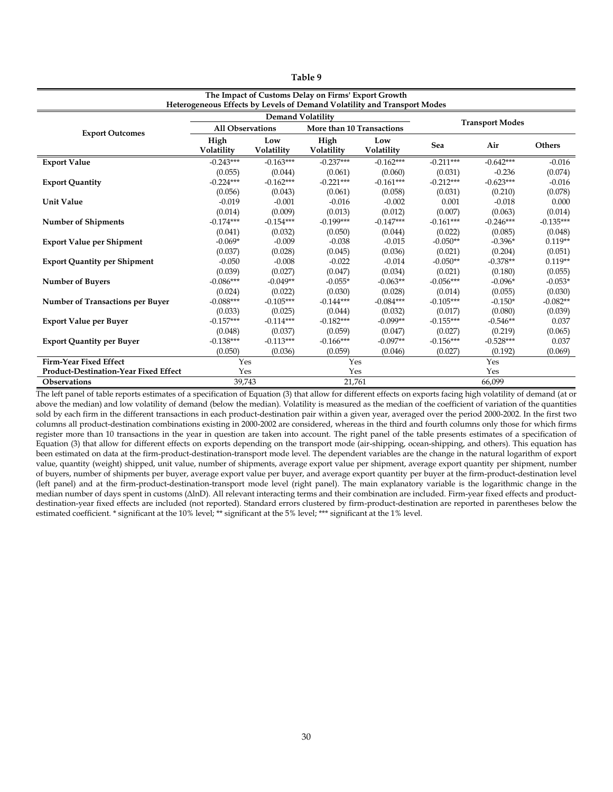| able |  |
|------|--|
|------|--|

| The Impact of Customs Delay on Firms' Export Growth                      |                         |                          |                           |                        |             |             |               |  |
|--------------------------------------------------------------------------|-------------------------|--------------------------|---------------------------|------------------------|-------------|-------------|---------------|--|
| Heterogeneous Effects by Levels of Demand Volatility and Transport Modes |                         |                          |                           |                        |             |             |               |  |
|                                                                          |                         | <b>Demand Volatility</b> |                           | <b>Transport Modes</b> |             |             |               |  |
| <b>Export Outcomes</b>                                                   | <b>All Observations</b> |                          | More than 10 Transactions |                        |             |             |               |  |
|                                                                          | High                    | Low                      | High                      | Low                    | Sea         | Air         | <b>Others</b> |  |
|                                                                          | Volatility              | Volatility               | Volatility                | Volatility             |             |             |               |  |
| <b>Export Value</b>                                                      | $-0.243***$             | $-0.163***$              | $-0.237***$               | $-0.162***$            | $-0.211***$ | $-0.642***$ | $-0.016$      |  |
|                                                                          | (0.055)                 | (0.044)                  | (0.061)                   | (0.060)                | (0.031)     | $-0.236$    | (0.074)       |  |
| <b>Export Quantity</b>                                                   | $-0.224***$             | $-0.162***$              | $-0.221***$               | $-0.161***$            | $-0.212***$ | $-0.623***$ | $-0.016$      |  |
|                                                                          | (0.056)                 | (0.043)                  | (0.061)                   | (0.058)                | (0.031)     | (0.210)     | (0.078)       |  |
| <b>Unit Value</b>                                                        | $-0.019$                | $-0.001$                 | $-0.016$                  | $-0.002$               | 0.001       | $-0.018$    | 0.000         |  |
|                                                                          | (0.014)                 | (0.009)                  | (0.013)                   | (0.012)                | (0.007)     | (0.063)     | (0.014)       |  |
| <b>Number of Shipments</b>                                               | $-0.174***$             | $-0.154***$              | $-0.199***$               | $-0.147***$            | $-0.161***$ | $-0.246***$ | $-0.135***$   |  |
|                                                                          | (0.041)                 | (0.032)                  | (0.050)                   | (0.044)                | (0.022)     | (0.085)     | (0.048)       |  |
| <b>Export Value per Shipment</b>                                         | $-0.069*$               | $-0.009$                 | $-0.038$                  | $-0.015$               | $-0.050**$  | $-0.396*$   | $0.119**$     |  |
|                                                                          | (0.037)                 | (0.028)                  | (0.045)                   | (0.036)                | (0.021)     | (0.204)     | (0.051)       |  |
| <b>Export Quantity per Shipment</b>                                      | $-0.050$                | $-0.008$                 | $-0.022$                  | $-0.014$               | $-0.050**$  | $-0.378**$  | $0.119**$     |  |
|                                                                          | (0.039)                 | (0.027)                  | (0.047)                   | (0.034)                | (0.021)     | (0.180)     | (0.055)       |  |
| <b>Number of Buyers</b>                                                  | $-0.086***$             | $-0.049**$               | $-0.055*$                 | $-0.063**$             | $-0.056***$ | $-0.096*$   | $-0.053*$     |  |
|                                                                          | (0.024)                 | (0.022)                  | (0.030)                   | (0.028)                | (0.014)     | (0.055)     | (0.030)       |  |
| <b>Number of Transactions per Buyer</b>                                  | $-0.088***$             | $-0.105***$              | $-0.144***$               | $-0.084***$            | $-0.105***$ | $-0.150*$   | $-0.082**$    |  |
|                                                                          | (0.033)                 | (0.025)                  | (0.044)                   | (0.032)                | (0.017)     | (0.080)     | (0.039)       |  |
| <b>Export Value per Buyer</b>                                            | $-0.157***$             | $-0.114***$              | $-0.182***$               | $-0.099**$             | $-0.155***$ | $-0.546**$  | 0.037         |  |
|                                                                          | (0.048)                 | (0.037)                  | (0.059)                   | (0.047)                | (0.027)     | (0.219)     | (0.065)       |  |
| <b>Export Quantity per Buyer</b>                                         | $-0.138***$             | $-0.113***$              | $-0.166***$               | $-0.097**$             | $-0.156***$ | $-0.528***$ | 0.037         |  |
|                                                                          | (0.050)                 | (0.036)                  | (0.059)                   | (0.046)                | (0.027)     | (0.192)     | (0.069)       |  |
| Firm-Year Fixed Effect                                                   | Yes                     |                          | Yes                       |                        | Yes         |             |               |  |
| <b>Product-Destination-Year Fixed Effect</b>                             | Yes                     |                          | Yes                       |                        | Yes         |             |               |  |
| <b>Observations</b>                                                      | 39,743<br>21,761        |                          |                           |                        | 66,099      |             |               |  |

The left panel of table reports estimates of a specification of Equation (3) that allow for different effects on exports facing high volatility of demand (at or above the median) and low volatility of demand (below the median). Volatility is measured as the median of the coefficient of variation of the quantities sold by each firm in the different transactions in each product-destination pair within a given year, averaged over the period 2000-2002. In the first two columns all product-destination combinations existing in 2000-2002 are considered, whereas in the third and fourth columns only those for which firms register more than 10 transactions in the year in question are taken into account. The right panel of the table presents estimates of a specification of Equation (3) that allow for different effects on exports depending on the transport mode (air-shipping, ocean-shipping, and others). This equation has been estimated on data at the firm-product-destination-transport mode level. The dependent variables are the change in the natural logarithm of export value, quantity (weight) shipped, unit value, number of shipments, average export value per shipment, average export quantity per shipment, number of buyers, number of shipments per buyer, average export value per buyer, and average export quantity per buyer at the firm-product-destination level (left panel) and at the firm-product-destination-transport mode level (right panel). The main explanatory variable is the logarithmic change in the median number of days spent in customs ( $\Delta$ lnD). All relevant interacting terms and their combination are included. Firm-year fixed effects and productdestination-year fixed effects are included (not reported). Standard errors clustered by firm-product-destination are reported in parentheses below the estimated coefficient. \* significant at the 10% level; \*\* significant at the 5% level; \*\*\* significant at the 1% level.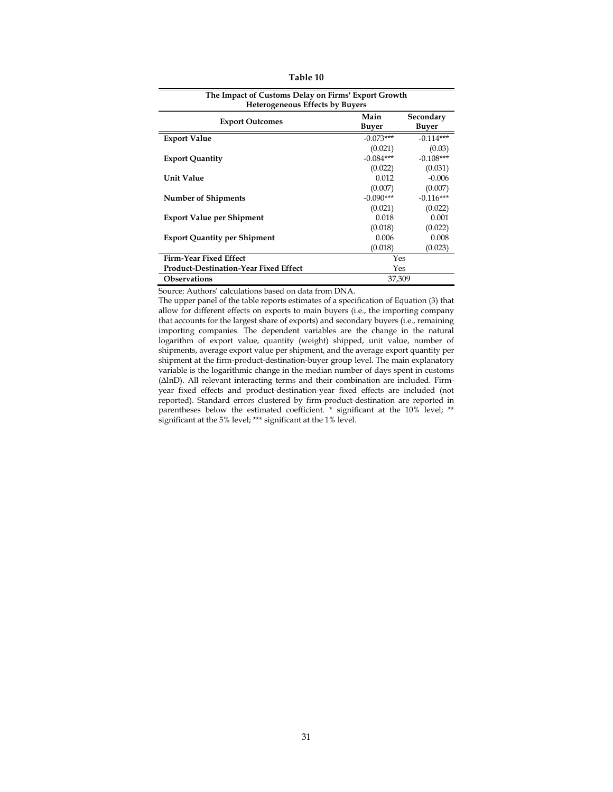| Table 10 |
|----------|
|----------|

| The Impact of Customs Delay on Firms' Export Growth<br><b>Heterogeneous Effects by Buyers</b> |               |                    |  |  |  |  |
|-----------------------------------------------------------------------------------------------|---------------|--------------------|--|--|--|--|
| <b>Export Outcomes</b>                                                                        | Main<br>Buyer | Secondary<br>Buyer |  |  |  |  |
| <b>Export Value</b>                                                                           | $-0.073***$   | $-0.114***$        |  |  |  |  |
|                                                                                               | (0.021)       | (0.03)             |  |  |  |  |
| <b>Export Quantity</b>                                                                        | $-0.084***$   | $-0.108***$        |  |  |  |  |
|                                                                                               | (0.022)       | (0.031)            |  |  |  |  |
| <b>Unit Value</b>                                                                             | 0.012         | $-0.006$           |  |  |  |  |
|                                                                                               | (0.007)       | (0.007)            |  |  |  |  |
| <b>Number of Shipments</b>                                                                    | $-0.090***$   | $-0.116***$        |  |  |  |  |
|                                                                                               | (0.021)       | (0.022)            |  |  |  |  |
| <b>Export Value per Shipment</b>                                                              | 0.018         | 0.001              |  |  |  |  |
|                                                                                               | (0.018)       | (0.022)            |  |  |  |  |
| <b>Export Quantity per Shipment</b>                                                           | 0.006         | 0.008              |  |  |  |  |
|                                                                                               | (0.018)       | (0.023)            |  |  |  |  |
| <b>Firm-Year Fixed Effect</b>                                                                 | Yes           |                    |  |  |  |  |
| Product-Destination-Year Fixed Effect                                                         |               | Yes                |  |  |  |  |
| <b>Observations</b>                                                                           | 37,309        |                    |  |  |  |  |

Source: Authors' calculations based on data from DNA.

The upper panel of the table reports estimates of a specification of Equation (3) that allow for different effects on exports to main buyers (i.e., the importing company that accounts for the largest share of exports) and secondary buyers (i.e., remaining importing companies. The dependent variables are the change in the natural logarithm of export value, quantity (weight) shipped, unit value, number of shipments, average export value per shipment, and the average export quantity per shipment at the firm-product-destination-buyer group level. The main explanatory variable is the logarithmic change in the median number of days spent in customs ( $\Delta$ lnD). All relevant interacting terms and their combination are included. Firmyear fixed effects and product-destination-year fixed effects are included (not reported). Standard errors clustered by firm-product-destination are reported in parentheses below the estimated coefficient. \* significant at the 10% level; \*\* significant at the 5% level; \*\*\* significant at the 1% level.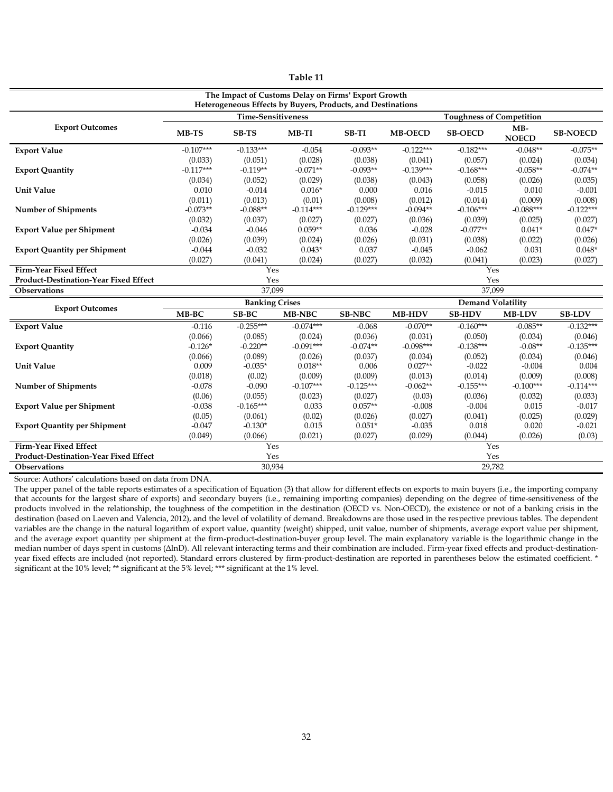| The Impact of Customs Delay on Firms' Export Growth<br>Heterogeneous Effects by Buyers, Products, and Destinations |                           |             |             |               |                |                                 |                       |                 |  |
|--------------------------------------------------------------------------------------------------------------------|---------------------------|-------------|-------------|---------------|----------------|---------------------------------|-----------------------|-----------------|--|
|                                                                                                                    | <b>Time-Sensitiveness</b> |             |             |               |                | <b>Toughness of Competition</b> |                       |                 |  |
| <b>Export Outcomes</b>                                                                                             | MB-TS                     | SB-TS       | MB-TI       | <b>SB-TI</b>  | <b>MB-OECD</b> | <b>SB-OECD</b>                  | $MB-$<br><b>NOECD</b> | <b>SB-NOECD</b> |  |
| <b>Export Value</b>                                                                                                | $-0.107***$               | $-0.133***$ | $-0.054$    | $-0.093**$    | $-0.122***$    | $-0.182***$                     | $-0.048**$            | $-0.075**$      |  |
|                                                                                                                    | (0.033)                   | (0.051)     | (0.028)     | (0.038)       | (0.041)        | (0.057)                         | (0.024)               | (0.034)         |  |
| <b>Export Quantity</b>                                                                                             | $-0.117***$               | $-0.119**$  | $-0.071**$  | $-0.093**$    | $-0.139***$    | $-0.168***$                     | $-0.058**$            | $-0.074**$      |  |
|                                                                                                                    | (0.034)                   | (0.052)     | (0.029)     | (0.038)       | (0.043)        | (0.058)                         | (0.026)               | (0.035)         |  |
| <b>Unit Value</b>                                                                                                  | 0.010                     | $-0.014$    | $0.016*$    | 0.000         | 0.016          | $-0.015$                        | 0.010                 | $-0.001$        |  |
|                                                                                                                    | (0.011)                   | (0.013)     | (0.01)      | (0.008)       | (0.012)        | (0.014)                         | (0.009)               | (0.008)         |  |
| <b>Number of Shipments</b>                                                                                         | $-0.073**$                | $-0.088**$  | $-0.114***$ | $-0.129***$   | $-0.094**$     | $-0.106***$                     | $-0.088***$           | $-0.122***$     |  |
|                                                                                                                    | (0.032)                   | (0.037)     | (0.027)     | (0.027)       | (0.036)        | (0.039)                         | (0.025)               | (0.027)         |  |
| <b>Export Value per Shipment</b>                                                                                   | $-0.034$                  | $-0.046$    | $0.059**$   | 0.036         | $-0.028$       | $-0.077**$                      | $0.041*$              | $0.047*$        |  |
|                                                                                                                    | (0.026)                   | (0.039)     | (0.024)     | (0.026)       | (0.031)        | (0.038)                         | (0.022)               | (0.026)         |  |
| <b>Export Quantity per Shipment</b>                                                                                | $-0.044$                  | $-0.032$    | $0.043*$    | 0.037         | $-0.045$       | $-0.062$                        | 0.031                 | $0.048*$        |  |
|                                                                                                                    | (0.027)                   | (0.041)     | (0.024)     | (0.027)       | (0.032)        | (0.041)                         | (0.023)               | (0.027)         |  |
| <b>Firm-Year Fixed Effect</b>                                                                                      |                           | Yes         | Yes         |               |                |                                 |                       |                 |  |
| Product-Destination-Year Fixed Effect                                                                              | Yes<br>Yes                |             |             |               |                |                                 |                       |                 |  |
| Observations                                                                                                       |                           | 37,099      |             |               |                | 37,099                          |                       |                 |  |
| <b>Export Outcomes</b>                                                                                             | <b>Banking Crises</b>     |             |             |               |                | <b>Demand Volatility</b>        |                       |                 |  |
|                                                                                                                    | MB-BC                     | SB-BC       | MB-NBC      | <b>SB-NBC</b> | <b>MB-HDV</b>  | <b>SB-HDV</b>                   | <b>MB-LDV</b>         | <b>SB-LDV</b>   |  |
| <b>Export Value</b>                                                                                                | $-0.116$                  | $-0.255***$ | $-0.074***$ | $-0.068$      | $-0.070**$     | $-0.160***$                     | $-0.085**$            | $-0.132***$     |  |
|                                                                                                                    | (0.066)                   | (0.085)     | (0.024)     | (0.036)       | (0.031)        | (0.050)                         | (0.034)               | (0.046)         |  |
| <b>Export Quantity</b>                                                                                             | $-0.126*$                 | $-0.220**$  | $-0.091***$ | $-0.074**$    | $-0.098***$    | $-0.138***$                     | $-0.08**$             | $-0.135***$     |  |
|                                                                                                                    | (0.066)                   | (0.089)     | (0.026)     | (0.037)       | (0.034)        | (0.052)                         | (0.034)               | (0.046)         |  |
| <b>Unit Value</b>                                                                                                  | 0.009                     | $-0.035*$   | $0.018**$   | 0.006         | $0.027**$      | $-0.022$                        | $-0.004$              | 0.004           |  |
|                                                                                                                    | (0.018)                   | (0.02)      | (0.009)     | (0.009)       | (0.013)        | (0.014)                         | (0.009)               | (0.008)         |  |
| <b>Number of Shipments</b>                                                                                         | $-0.078$                  | $-0.090$    | $-0.107***$ | $-0.125***$   | $-0.062**$     | $-0.155***$                     | $-0.100***$           | $-0.114***$     |  |
|                                                                                                                    | (0.06)                    | (0.055)     | (0.023)     | (0.027)       | (0.03)         | (0.036)                         | (0.032)               | (0.033)         |  |
| <b>Export Value per Shipment</b>                                                                                   | $-0.038$                  | $-0.165***$ | 0.033       | $0.057**$     | $-0.008$       | $-0.004$                        | 0.015                 | $-0.017$        |  |
|                                                                                                                    | (0.05)                    | (0.061)     | (0.02)      | (0.026)       | (0.027)        | (0.041)                         | (0.025)               | (0.029)         |  |
| <b>Export Quantity per Shipment</b>                                                                                | $-0.047$                  | $-0.130*$   | 0.015       | $0.051*$      | $-0.035$       | 0.018                           | 0.020                 | $-0.021$        |  |
|                                                                                                                    | (0.049)                   | (0.066)     | (0.021)     | (0.027)       | (0.029)        | (0.044)                         | (0.026)               | (0.03)          |  |
| Firm-Year Fixed Effect                                                                                             |                           | Yes         |             |               |                | Yes                             |                       |                 |  |
| Product-Destination-Year Fixed Effect                                                                              |                           | Yes         |             |               |                | Yes                             |                       |                 |  |
| Observations                                                                                                       |                           | 30.934      |             |               |                | 29.782                          |                       |                 |  |

The upper panel of the table reports estimates of a specification of Equation (3) that allow for different effects on exports to main buyers (i.e., the importing company that accounts for the largest share of exports) and secondary buyers (i.e., remaining importing companies) depending on the degree of time-sensitiveness of the products involved in the relationship, the toughness of the competition in the destination (OECD vs. Non-OECD), the existence or not of a banking crisis in the destination (based on Laeven and Valencia, 2012), and the level of volatility of demand. Breakdowns are those used in the respective previous tables. The dependent variables are the change in the natural logarithm of export value, quantity (weight) shipped, unit value, number of shipments, average export value per shipment, and the average export quantity per shipment at the firm-product-destination-buyer group level. The main explanatory variable is the logarithmic change in the median number of days spent in customs ( $\Delta$ lnD). All relevant interacting terms and their combination are included. Firm-year fixed effects and product-destinationyear fixed effects are included (not reported). Standard errors clustered by firm-product-destination are reported in parentheses below the estimated coefficient. \* significant at the 10% level; \*\* significant at the 5% level; \*\*\* significant at the 1% level.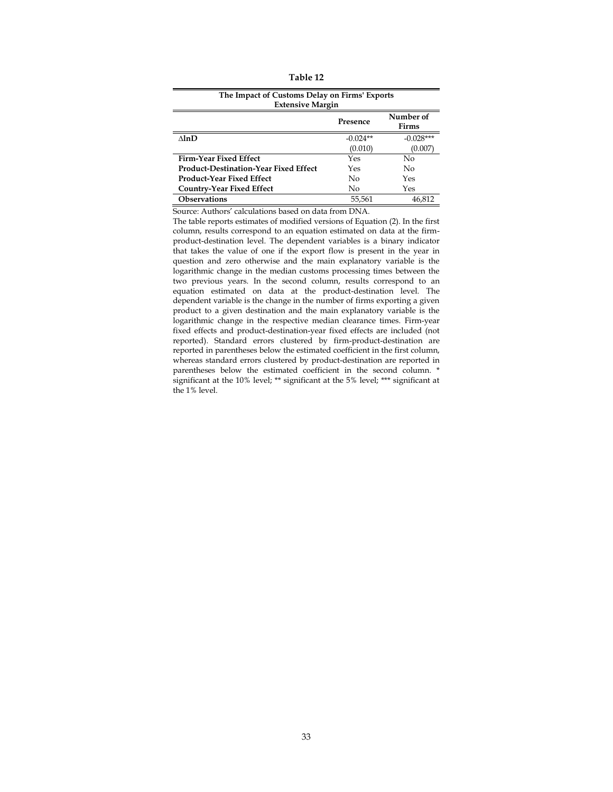| Table 12 |  |
|----------|--|
|----------|--|

| The Impact of Customs Delay on Firms' Exports<br><b>Extensive Margin</b> |            |                    |  |  |  |  |
|--------------------------------------------------------------------------|------------|--------------------|--|--|--|--|
|                                                                          | Presence   | Number of<br>Firms |  |  |  |  |
| $\Lambda$ ln $D$                                                         | $-0.024**$ | $-0.028***$        |  |  |  |  |
|                                                                          | (0.010)    | (0.007)            |  |  |  |  |
| Firm-Year Fixed Effect                                                   | Yes        | No                 |  |  |  |  |
| <b>Product-Destination-Year Fixed Effect</b>                             | Yes        | No                 |  |  |  |  |
| Product-Year Fixed Effect                                                | No         | Yes                |  |  |  |  |
| <b>Country-Year Fixed Effect</b>                                         | No         | Yes                |  |  |  |  |
| <b>Observations</b>                                                      | 55,561     | 46.812             |  |  |  |  |

The table reports estimates of modified versions of Equation (2). In the first column, results correspond to an equation estimated on data at the firmproduct-destination level. The dependent variables is a binary indicator that takes the value of one if the export flow is present in the year in question and zero otherwise and the main explanatory variable is the logarithmic change in the median customs processing times between the two previous years. In the second column, results correspond to an equation estimated on data at the product-destination level. The dependent variable is the change in the number of firms exporting a given product to a given destination and the main explanatory variable is the logarithmic change in the respective median clearance times. Firm-year fixed effects and product-destination-year fixed effects are included (not reported). Standard errors clustered by firm-product-destination are reported in parentheses below the estimated coefficient in the first column, whereas standard errors clustered by product-destination are reported in parentheses below the estimated coefficient in the second column. \* significant at the 10% level; \*\* significant at the 5% level; \*\*\* significant at the 1% level.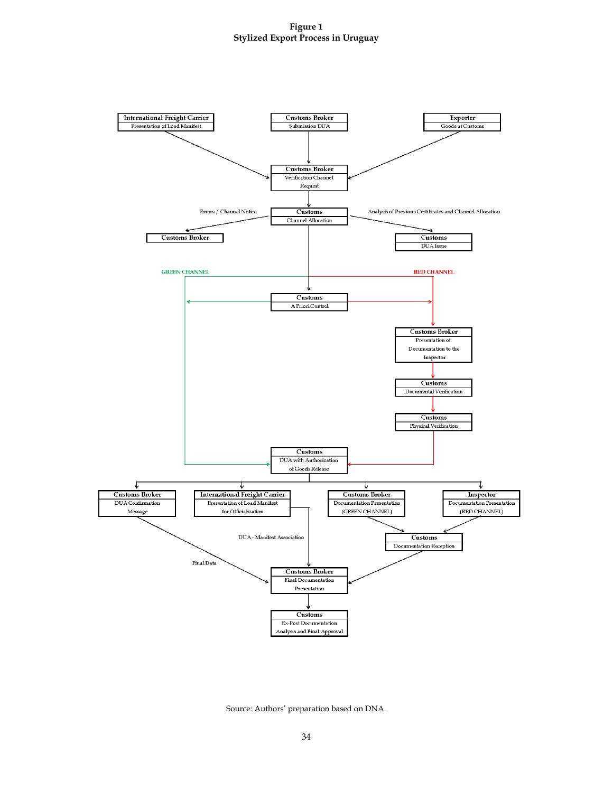

Source: Authors' preparation based on DNA.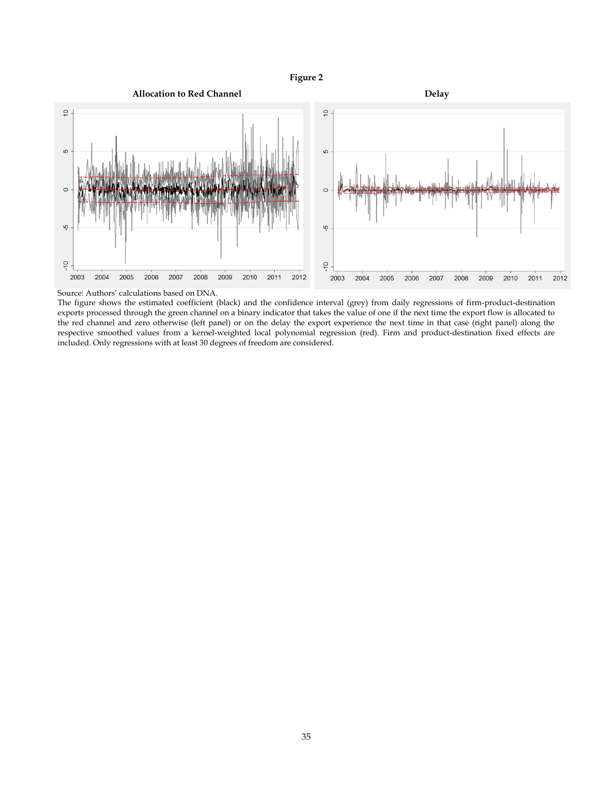# **Figure 2**



Source: Authors' calculations based on DNA.

The figure shows the estimated coefficient (black) and the confidence interval (grey) from daily regressions of firm-product-destination exports processed through the green channel on a binary indicator that takes the value of one if the next time the export flow is allocated to the red channel and zero otherwise (left panel) or on the delay the export experience the next time in that case (right panel) along the respective smoothed values from a kernel-weighted local polynomial regression (red). Firm and product-destination fixed effects are included. Only regressions with at least 30 degrees of freedom are considered.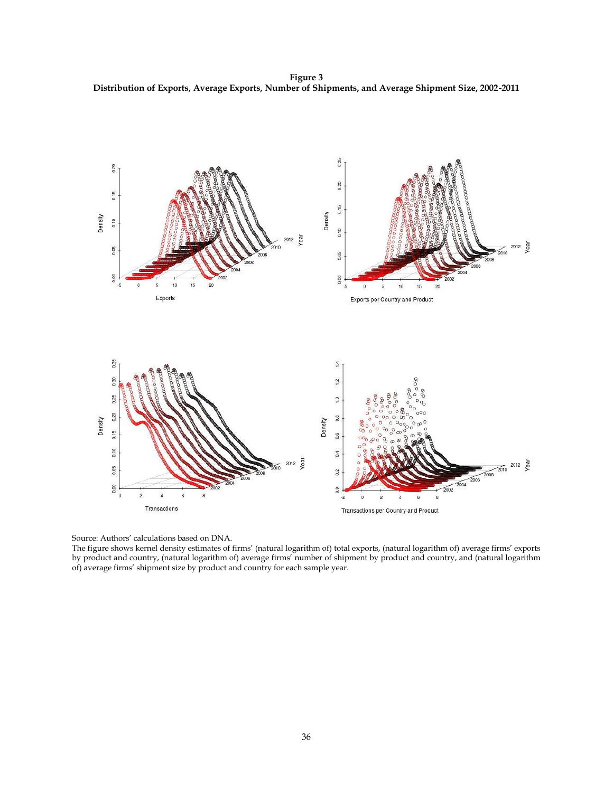**Figure 3 Distribution of Exports, Average Exports, Number of Shipments, and Average Shipment Size, 2002-2011**



Source: Authors' calculations based on DNA.

The figure shows kernel density estimates of firms' (natural logarithm of) total exports, (natural logarithm of) average firms' exports by product and country, (natural logarithm of) average firms' number of shipment by product and country, and (natural logarithm of) average firms' shipment size by product and country for each sample year.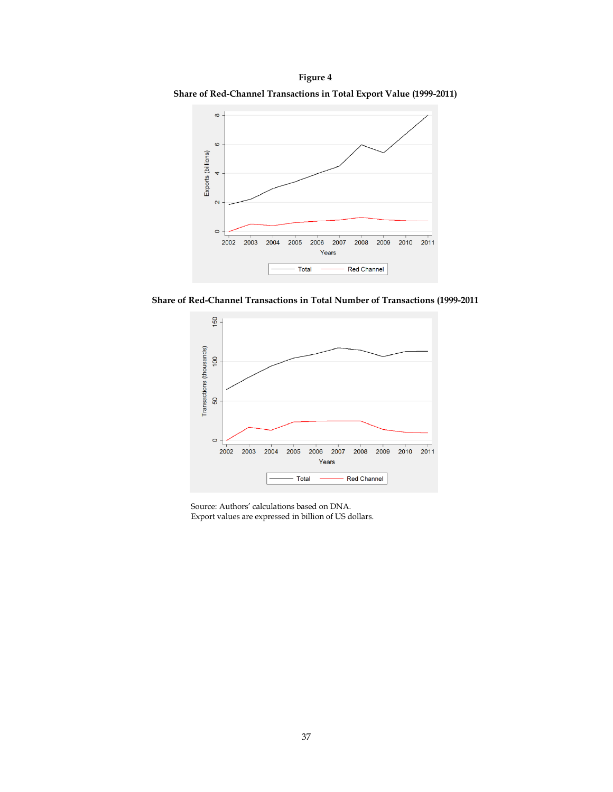**Figure 4 Share of Red-Channel Transactions in Total Export Value (1999-2011)**



**Share of Red-Channel Transactions in Total Number of Transactions (1999-2011**



Source: Authors' calculations based on DNA. Export values are expressed in billion of US dollars.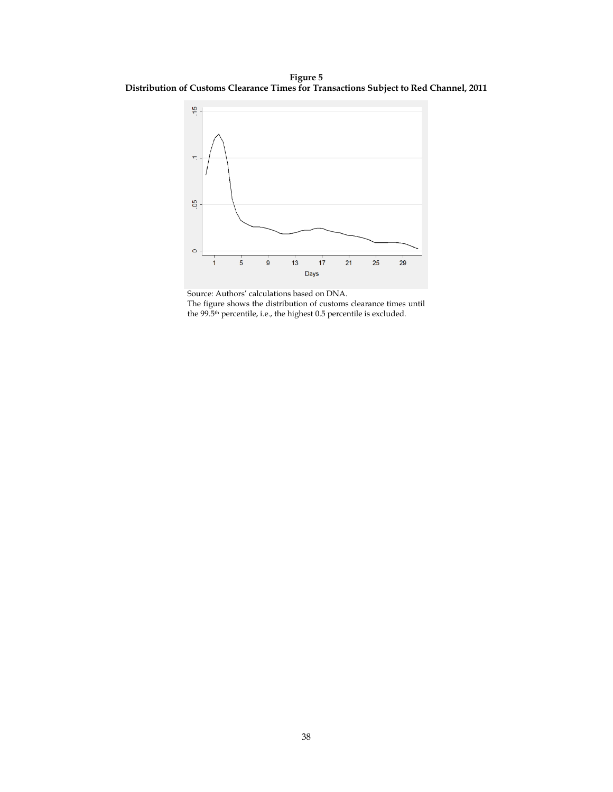**Figure 5 Distribution of Customs Clearance Times for Transactions Subject to Red Channel, 2011**



Source: Authors' calculations based on DNA. The figure shows the distribution of customs clearance times until the 99.5th percentile, i.e., the highest 0.5 percentile is excluded.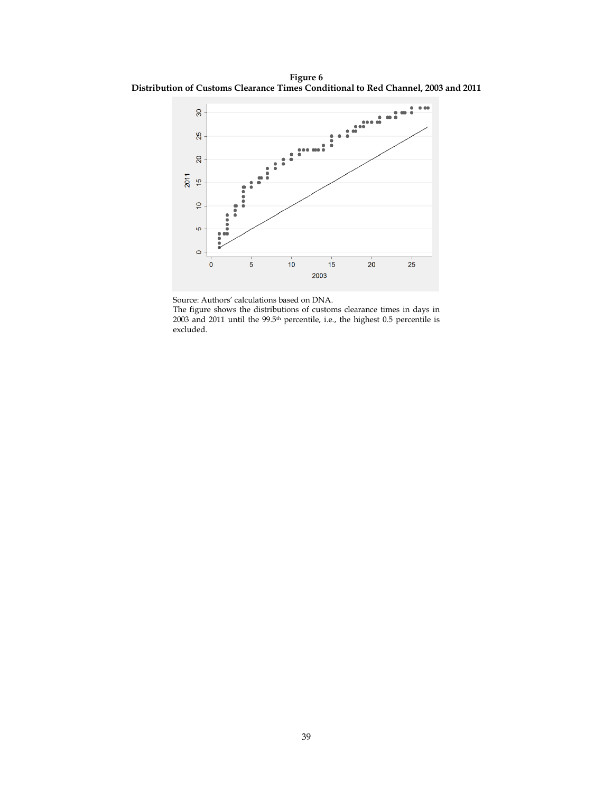**Figure 6 Distribution of Customs Clearance Times Conditional to Red Channel, 2003 and 2011**



Source: Authors' calculations based on DNA.

The figure shows the distributions of customs clearance times in days in 2003 and 2011 until the 99.5<sup>th</sup> percentile, i.e., the highest 0.5 percentile is excluded.